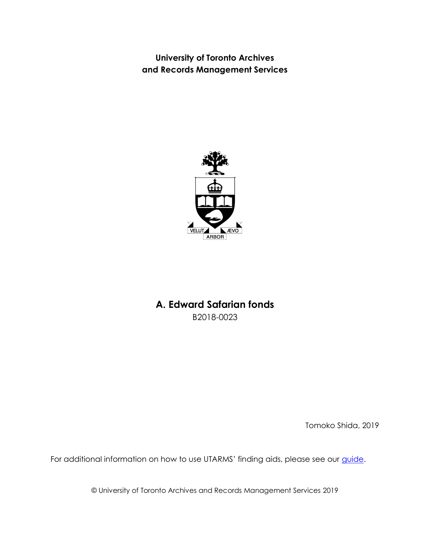**University of Toronto Archives and Records Management Services**



## <span id="page-0-0"></span>**A. Edward Safarian fonds** B2018-0023

Tomoko Shida, 2019

For additional information on how to use UTARMS' finding aids, please see our *guide*.

© University of Toronto Archives and Records Management Services 2019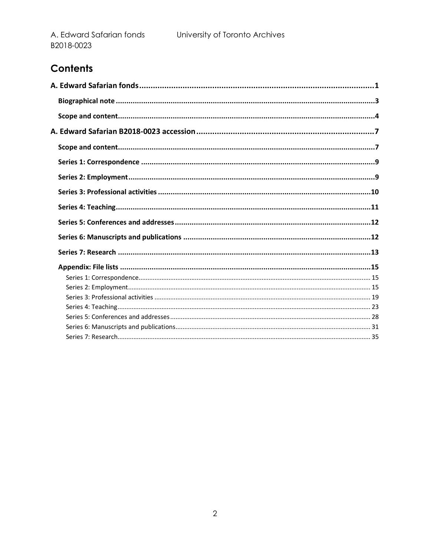# Contents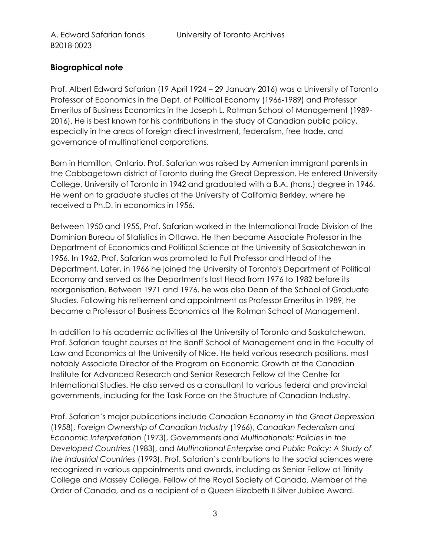## <span id="page-2-0"></span>**Biographical note**

Prof. Albert Edward Safarian (19 April 1924 – 29 January 2016) was a University of Toronto Professor of Economics in the Dept. of Political Economy (1966-1989) and Professor Emeritus of Business Economics in the Joseph L. Rotman School of Management (1989- 2016). He is best known for his contributions in the study of Canadian public policy, especially in the areas of foreign direct investment, federalism, free trade, and governance of multinational corporations.

Born in Hamilton, Ontario, Prof. Safarian was raised by Armenian immigrant parents in the Cabbagetown district of Toronto during the Great Depression. He entered University College, University of Toronto in 1942 and graduated with a B.A. (hons.) degree in 1946. He went on to graduate studies at the University of California Berkley, where he received a Ph.D. in economics in 1956.

Between 1950 and 1955, Prof. Safarian worked in the International Trade Division of the Dominion Bureau of Statistics in Ottawa. He then became Associate Professor in the Department of Economics and Political Science at the University of Saskatchewan in 1956. In 1962, Prof. Safarian was promoted to Full Professor and Head of the Department. Later, in 1966 he joined the University of Toronto's Department of Political Economy and served as the Department's last Head from 1976 to 1982 before its reorganisation. Between 1971 and 1976, he was also Dean of the School of Graduate Studies. Following his retirement and appointment as Professor Emeritus in 1989, he became a Professor of Business Economics at the Rotman School of Management.

In addition to his academic activities at the University of Toronto and Saskatchewan, Prof. Safarian taught courses at the Banff School of Management and in the Faculty of Law and Economics at the University of Nice. He held various research positions, most notably Associate Director of the Program on Economic Growth at the Canadian Institute for Advanced Research and Senior Research Fellow at the Centre for International Studies. He also served as a consultant to various federal and provincial governments, including for the Task Force on the Structure of Canadian Industry.

Prof. Safarian's major publications include *Canadian Economy in the Great Depression* (1958), *Foreign Ownership of Canadian Industry* (1966), *Canadian Federalism and Economic Interpretation* (1973), *Governments and Multinationals: Policies in the Developed Countries* (1983), and *Multinational Enterprise and Public Policy: A Study of the Industrial Countries* (1993). Prof. Safarian's contributions to the social sciences were recognized in various appointments and awards, including as Senior Fellow at Trinity College and Massey College, Fellow of the Royal Society of Canada, Member of the Order of Canada, and as a recipient of a Queen Elizabeth II Silver Jubilee Award.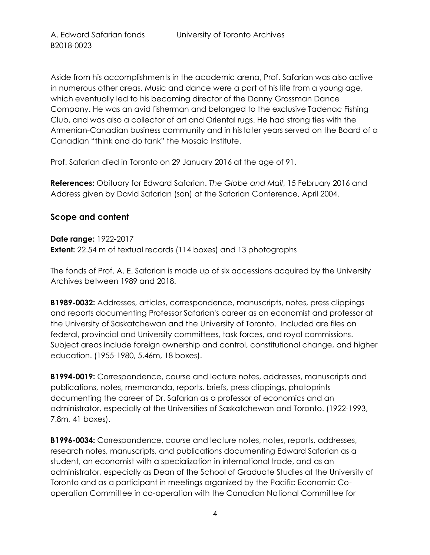Aside from his accomplishments in the academic arena, Prof. Safarian was also active in numerous other areas. Music and dance were a part of his life from a young age, which eventually led to his becoming director of the Danny Grossman Dance Company. He was an avid fisherman and belonged to the exclusive Tadenac Fishing Club, and was also a collector of art and Oriental rugs. He had strong ties with the Armenian-Canadian business community and in his later years served on the Board of a Canadian "think and do tank" the Mosaic Institute.

Prof. Safarian died in Toronto on 29 January 2016 at the age of 91.

**References:** Obituary for Edward Safarian. *The Globe and Mail*, 15 February 2016 and Address given by David Safarian (son) at the Safarian Conference, April 2004.

### <span id="page-3-0"></span>**Scope and content**

**Date range:** 1922-2017 **Extent:** 22.54 m of textual records (114 boxes) and 13 photographs

The fonds of Prof. A. E. Safarian is made up of six accessions acquired by the University Archives between 1989 and 2018.

**B1989-0032:** Addresses, articles, correspondence, manuscripts, notes, press clippings and reports documenting Professor Safarian's career as an economist and professor at the University of Saskatchewan and the University of Toronto. Included are files on federal, provincial and University committees, task forces, and royal commissions. Subject areas include foreign ownership and control, constitutional change, and higher education. (1955-1980, 5.46m, 18 boxes).

**B1994-0019:** Correspondence, course and lecture notes, addresses, manuscripts and publications, notes, memoranda, reports, briefs, press clippings, photoprints documenting the career of Dr. Safarian as a professor of economics and an administrator, especially at the Universities of Saskatchewan and Toronto. (1922-1993, 7.8m, 41 boxes).

**B1996-0034:** Correspondence, course and lecture notes, notes, reports, addresses, research notes, manuscripts, and publications documenting Edward Safarian as a student, an economist with a specialization in international trade, and as an administrator, especially as Dean of the School of Graduate Studies at the University of Toronto and as a participant in meetings organized by the Pacific Economic Cooperation Committee in co-operation with the Canadian National Committee for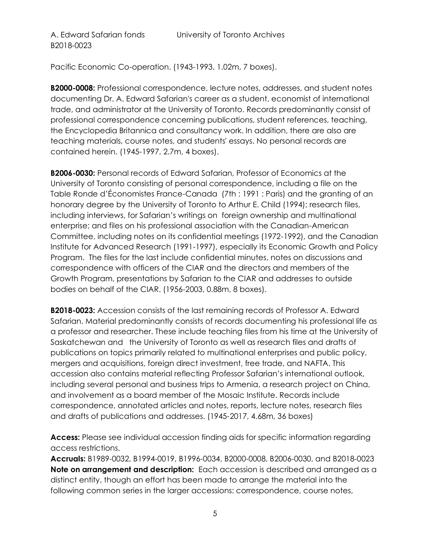Pacific Economic Co-operation. (1943-1993, 1.02m, 7 boxes).

**B2000-0008:** Professional correspondence, lecture notes, addresses, and student notes documenting Dr. A. Edward Safarian's career as a student, economist of international trade, and administrator at the University of Toronto. Records predominantly consist of professional correspondence concerning publications, student references, teaching, the Encyclopedia Britannica and consultancy work. In addition, there are also are teaching materials, course notes, and students' essays. No personal records are contained herein. (1945-1997, 2.7m, 4 boxes).

**B2006-0030:** Personal records of Edward Safarian, Professor of Economics at the University of Toronto consisting of personal correspondence, including a file on the Table Ronde d'Économistes France-Canada (7th : 1991 : Paris) and the granting of an honorary degree by the University of Toronto to Arthur E. Child (1994); research files, including interviews, for Safarian's writings on foreign ownership and multinational enterprise; and files on his professional association with the Canadian-American Committee, including notes on its confidential meetings (1972-1992), and the Canadian Institute for Advanced Research (1991-1997), especially its Economic Growth and Policy Program. The files for the last include confidential minutes, notes on discussions and correspondence with officers of the CIAR and the directors and members of the Growth Program, presentations by Safarian to the CIAR and addresses to outside bodies on behalf of the CIAR. (1956-2003, 0.88m, 8 boxes).

**B2018-0023:** Accession consists of the last remaining records of Professor A. Edward Safarian. Material predominantly consists of records documenting his professional life as a professor and researcher. These include teaching files from his time at the University of Saskatchewan and the University of Toronto as well as research files and drafts of publications on topics primarily related to multinational enterprises and public policy, mergers and acquisitions, foreign direct investment, free trade, and NAFTA. This accession also contains material reflecting Professor Safarian's international outlook, including several personal and business trips to Armenia, a research project on China, and involvement as a board member of the Mosaic Institute. Records include correspondence, annotated articles and notes, reports, lecture notes, research files and drafts of publications and addresses. (1945-2017, 4.68m, 36 boxes)

**Access:** Please see individual accession finding aids for specific information regarding access restrictions.

**Accruals:** B1989-0032, B1994-0019, B1996-0034, B2000-0008, B2006-0030, and B2018-0023 **Note on arrangement and description:** Each accession is described and arranged as a distinct entity, though an effort has been made to arrange the material into the following common series in the larger accessions: correspondence, course notes,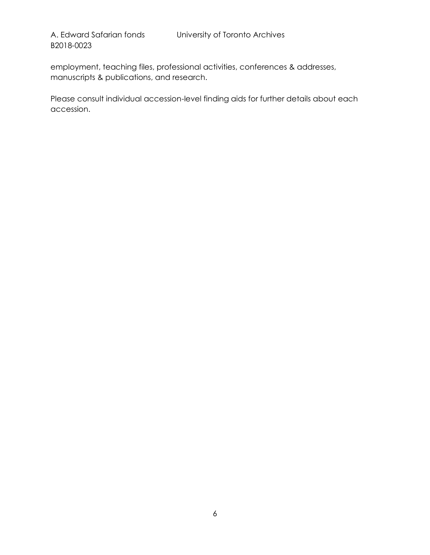B2018-0023

employment, teaching files, professional activities, conferences & addresses, manuscripts & publications, and research.

Please consult individual accession-level finding aids for further details about each accession.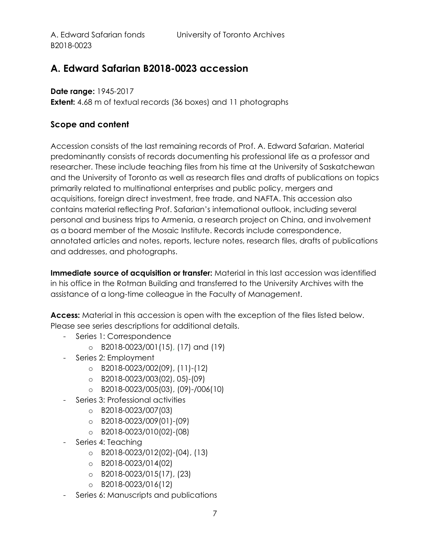# <span id="page-6-0"></span>**A. Edward Safarian B2018-0023 accession**

**Date range:** 1945-2017 **Extent:** 4.68 m of textual records (36 boxes) and 11 photographs

### <span id="page-6-1"></span>**Scope and content**

Accession consists of the last remaining records of Prof. A. Edward Safarian. Material predominantly consists of records documenting his professional life as a professor and researcher. These include teaching files from his time at the University of Saskatchewan and the University of Toronto as well as research files and drafts of publications on topics primarily related to multinational enterprises and public policy, mergers and acquisitions, foreign direct investment, free trade, and NAFTA. This accession also contains material reflecting Prof. Safarian's international outlook, including several personal and business trips to Armenia, a research project on China, and involvement as a board member of the Mosaic Institute. Records include correspondence, annotated articles and notes, reports, lecture notes, research files, drafts of publications and addresses, and photographs.

**Immediate source of acquisition or transfer:** Material in this last accession was identified in his office in the Rotman Building and transferred to the University Archives with the assistance of a long-time colleague in the Faculty of Management.

**Access:** Material in this accession is open with the exception of the files listed below. Please see series descriptions for additional details.

- Series 1: Correspondence
	- o B2018-0023/001(15), (17) and (19)
- Series 2: Employment
	- o B2018-0023/002(09), (11)-(12)
	- o B2018-0023/003(02), 05)-(09)
	- o B2018-0023/005(03), (09)-/006(10)
- Series 3: Professional activities
	- o B2018-0023/007(03)
	- o B2018-0023/009(01)-(09)
	- o B2018-0023/010(02)-(08)
- Series 4: Teaching
	- o B2018-0023/012(02)-(04), (13)
	- o B2018-0023/014(02)
	- o B2018-0023/015(17), (23)
	- o B2018-0023/016(12)
- Series 6: Manuscripts and publications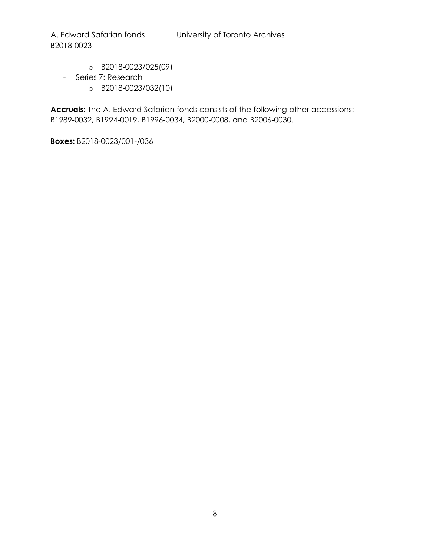B2018-0023

- o B2018-0023/025(09)
- Series 7: Research
	- o B2018-0023/032(10)

**Accruals:** The A. Edward Safarian fonds consists of the following other accessions: B1989-0032, B1994-0019, B1996-0034, B2000-0008, and B2006-0030.

**Boxes:** B2018-0023/001-/036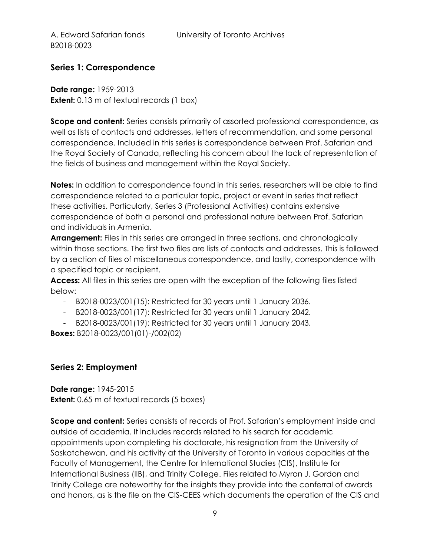## <span id="page-8-0"></span>**Series 1: Correspondence**

**Date range:** 1959-2013 **Extent:** 0.13 m of textual records (1 box)

**Scope and content:** Series consists primarily of assorted professional correspondence, as well as lists of contacts and addresses, letters of recommendation, and some personal correspondence. Included in this series is correspondence between Prof. Safarian and the Royal Society of Canada, reflecting his concern about the lack of representation of the fields of business and management within the Royal Society.

**Notes:** In addition to correspondence found in this series, researchers will be able to find correspondence related to a particular topic, project or event in series that reflect these activities. Particularly, Series 3 (Professional Activities) contains extensive correspondence of both a personal and professional nature between Prof. Safarian and individuals in Armenia.

**Arrangement:** Files in this series are arranged in three sections, and chronologically within those sections. The first two files are lists of contacts and addresses. This is followed by a section of files of miscellaneous correspondence, and lastly, correspondence with a specified topic or recipient.

**Access:** All files in this series are open with the exception of the following files listed below:

- B2018-0023/001(15): Restricted for 30 years until 1 January 2036.
- B2018-0023/001(17): Restricted for 30 years until 1 January 2042.
- B2018-0023/001(19): Restricted for 30 years until 1 January 2043.

**Boxes:** B2018-0023/001(01)-/002(02)

#### <span id="page-8-1"></span>**Series 2: Employment**

**Date range:** 1945-2015 **Extent:** 0.65 m of textual records (5 boxes)

**Scope and content:** Series consists of records of Prof. Safarian's employment inside and outside of academia. It includes records related to his search for academic appointments upon completing his doctorate, his resignation from the University of Saskatchewan, and his activity at the University of Toronto in various capacities at the Faculty of Management, the Centre for International Studies (CIS), Institute for International Business (IIB), and Trinity College. Files related to Myron J. Gordon and Trinity College are noteworthy for the insights they provide into the conferral of awards and honors, as is the file on the CIS-CEES which documents the operation of the CIS and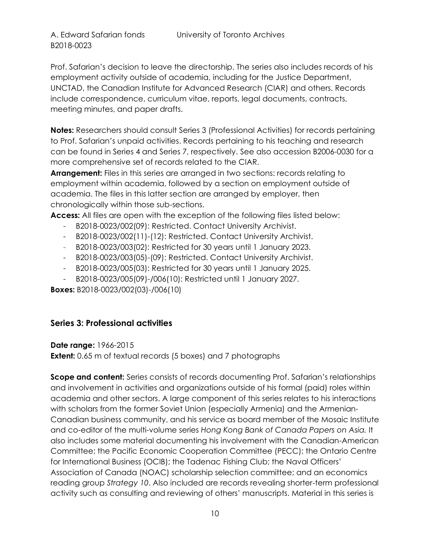B2018-0023

Prof. Safarian's decision to leave the directorship. The series also includes records of his employment activity outside of academia, including for the Justice Department, UNCTAD, the Canadian Institute for Advanced Research (CIAR) and others. Records include correspondence, curriculum vitae, reports, legal documents, contracts, meeting minutes, and paper drafts.

**Notes:** Researchers should consult Series 3 (Professional Activities) for records pertaining to Prof. Safarian's unpaid activities. Records pertaining to his teaching and research can be found in Series 4 and Series 7, respectively. See also accession B2006-0030 for a more comprehensive set of records related to the CIAR.

**Arrangement:** Files in this series are arranged in two sections: records relating to employment within academia, followed by a section on employment outside of academia. The files in this latter section are arranged by employer, then chronologically within those sub-sections.

**Access:** All files are open with the exception of the following files listed below:

- B2018-0023/002(09): Restricted. Contact University Archivist.
- B2018-0023/002(11)-(12): Restricted. Contact University Archivist.
- B2018-0023/003(02): Restricted for 30 years until 1 January 2023.
- B2018-0023/003(05)-(09): Restricted. Contact University Archivist.
- B2018-0023/005(03): Restricted for 30 years until 1 January 2025.
- B2018-0023/005(09)-/006(10): Restricted until 1 January 2027.

**Boxes:** B2018-0023/002(03)-/006(10)

#### <span id="page-9-0"></span>**Series 3: Professional activities**

**Date range:** 1966-2015 **Extent:** 0.65 m of textual records (5 boxes) and 7 photographs

**Scope and content:** Series consists of records documenting Prof. Safarian's relationships and involvement in activities and organizations outside of his formal (paid) roles within academia and other sectors. A large component of this series relates to his interactions with scholars from the former Soviet Union (especially Armenia) and the Armenian-Canadian business community, and his service as board member of the Mosaic Institute and co-editor of the multi-volume series *Hong Kong Bank of Canada Papers on Asia.* It also includes some material documenting his involvement with the Canadian-American Committee; the Pacific Economic Cooperation Committee (PECC); the Ontario Centre for International Business (OCIB); the Tadenac Fishing Club; the Naval Officers' Association of Canada (NOAC) scholarship selection committee; and an economics reading group *Strategy 10*. Also included are records revealing shorter-term professional activity such as consulting and reviewing of others' manuscripts. Material in this series is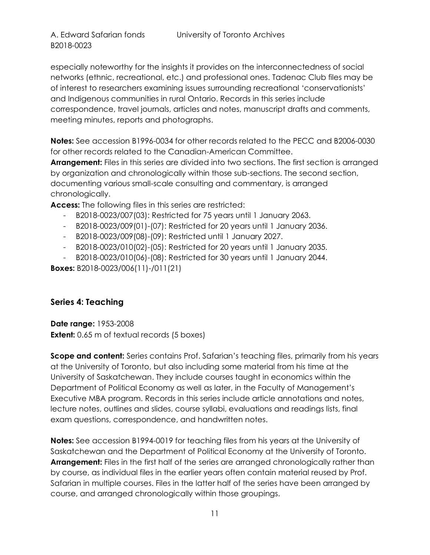B2018-0023

especially noteworthy for the insights it provides on the interconnectedness of social networks (ethnic, recreational, etc.) and professional ones. Tadenac Club files may be of interest to researchers examining issues surrounding recreational 'conservationists' and Indigenous communities in rural Ontario. Records in this series include correspondence, travel journals, articles and notes, manuscript drafts and comments, meeting minutes, reports and photographs.

**Notes:** See accession B1996-0034 for other records related to the PECC and B2006-0030 for other records related to the Canadian-American Committee.

**Arrangement:** Files in this series are divided into two sections. The first section is arranged by organization and chronologically within those sub-sections. The second section, documenting various small-scale consulting and commentary, is arranged chronologically.

**Access:** The following files in this series are restricted:

- B2018-0023/007(03): Restricted for 75 years until 1 January 2063.
- B2018-0023/009(01)-(07): Restricted for 20 years until 1 January 2036.
- B2018-0023/009(08)-(09): Restricted until 1 January 2027.
- B2018-0023/010(02)-(05): Restricted for 20 years until 1 January 2035.
- B2018-0023/010(06)-(08): Restricted for 30 years until 1 January 2044.

**Boxes:** B2018-0023/006(11)-/011(21)

## <span id="page-10-0"></span>**Series 4: Teaching**

**Date range:** 1953-2008 **Extent:** 0.65 m of textual records (5 boxes)

**Scope and content:** Series contains Prof. Safarian's teaching files, primarily from his years at the University of Toronto, but also including some material from his time at the University of Saskatchewan. They include courses taught in economics within the Department of Political Economy as well as later, in the Faculty of Management's Executive MBA program. Records in this series include article annotations and notes, lecture notes, outlines and slides, course syllabi, evaluations and readings lists, final exam questions, correspondence, and handwritten notes.

**Notes:** See accession B1994-0019 for teaching files from his years at the University of Saskatchewan and the Department of Political Economy at the University of Toronto. **Arrangement:** Files in the first half of the series are arranged chronologically rather than by course, as individual files in the earlier years often contain material reused by Prof. Safarian in multiple courses. Files in the latter half of the series have been arranged by course, and arranged chronologically within those groupings.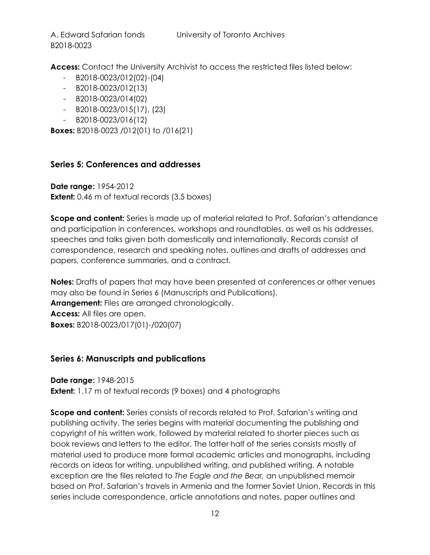B2018-0023

**Access:** Contact the University Archivist to access the restricted files listed below:

- B2018-0023/012(02)-(04)
- B2018-0023/012(13)
- B2018-0023/014(02)
- B2018-0023/015(17), (23)
- B2018-0023/016(12)

**Boxes:** B2018-0023 /012(01) to /016(21)

### <span id="page-11-0"></span>**Series 5: Conferences and addresses**

**Date range:** 1954-2012 **Extent:** 0.46 m of textual records (3.5 boxes)

**Scope and content:** Series is made up of material related to Prof. Safarian's attendance and participation in conferences, workshops and roundtables, as well as his addresses, speeches and talks given both domestically and internationally. Records consist of correspondence, research and speaking notes, outlines and drafts of addresses and papers, conference summaries, and a contract.

**Notes:** Drafts of papers that may have been presented at conferences or other venues may also be found in Series 6 (Manuscripts and Publications). **Arrangement:** Files are arranged chronologically. **Access:** All files are open. **Boxes:** B2018-0023/017(01)-/020(07)

#### <span id="page-11-1"></span>**Series 6: Manuscripts and publications**

**Date range:** 1948-2015 **Extent:** 1.17 m of textual records (9 boxes) and 4 photographs

**Scope and content:** Series consists of records related to Prof. Safarian's writing and publishing activity. The series begins with material documenting the publishing and copyright of his written work, followed by material related to shorter pieces such as book reviews and letters to the editor. The latter half of the series consists mostly of material used to produce more formal academic articles and monographs, including records on ideas for writing, unpublished writing, and published writing. A notable exception are the files related to *The Eagle and the Bear,* an unpublished memoir based on Prof. Safarian's travels in Armenia and the former Soviet Union. Records in this series include correspondence, article annotations and notes, paper outlines and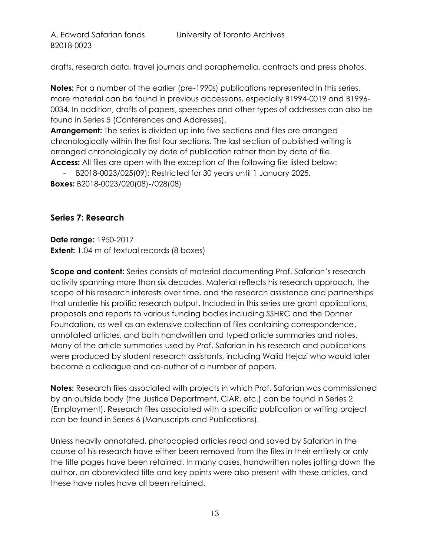drafts, research data, travel journals and paraphernalia, contracts and press photos.

**Notes:** For a number of the earlier (pre-1990s) publications represented in this series, more material can be found in previous accessions, especially B1994-0019 and B1996- 0034. In addition, drafts of papers, speeches and other types of addresses can also be found in Series 5 (Conferences and Addresses).

**Arrangement:** The series is divided up into five sections and files are arranged chronologically within the first four sections. The last section of published writing is arranged chronologically by date of publication rather than by date of file. **Access:** All files are open with the exception of the following file listed below:

- B2018-0023/025(09): Restricted for 30 years until 1 January 2025. **Boxes:** B2018-0023/020(08)-/028(08)

#### <span id="page-12-0"></span>**Series 7: Research**

**Date range:** 1950-2017 **Extent:** 1.04 m of textual records (8 boxes)

**Scope and content:** Series consists of material documenting Prof. Safarian's research activity spanning more than six decades. Material reflects his research approach, the scope of his research interests over time, and the research assistance and partnerships that underlie his prolific research output. Included in this series are grant applications, proposals and reports to various funding bodies including SSHRC and the Donner Foundation, as well as an extensive collection of files containing correspondence, annotated articles, and both handwritten and typed article summaries and notes. Many of the article summaries used by Prof. Safarian in his research and publications were produced by student research assistants, including Walid Hejazi who would later become a colleague and co-author of a number of papers.

**Notes:** Research files associated with projects in which Prof. Safarian was commissioned by an outside body (the Justice Department, CIAR, etc.) can be found in Series 2 (Employment). Research files associated with a specific publication or writing project can be found in Series 6 (Manuscripts and Publications).

Unless heavily annotated, photocopied articles read and saved by Safarian in the course of his research have either been removed from the files in their entirety or only the title pages have been retained. In many cases, handwritten notes jotting down the author, an abbreviated title and key points were also present with these articles, and these have notes have all been retained.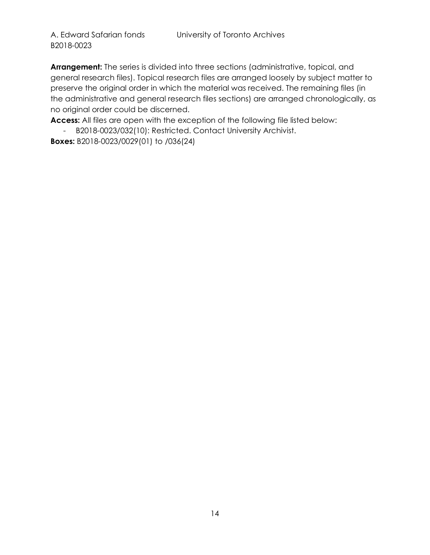**Arrangement:** The series is divided into three sections (administrative, topical, and general research files). Topical research files are arranged loosely by subject matter to preserve the original order in which the material was received. The remaining files (in the administrative and general research files sections) are arranged chronologically, as no original order could be discerned.

**Access:** All files are open with the exception of the following file listed below:

- B2018-0023/032(10): Restricted. Contact University Archivist.

**Boxes:** B2018-0023/0029(01) to /036(24)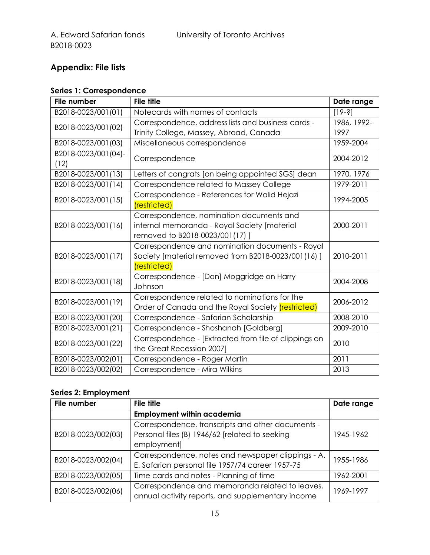# <span id="page-14-0"></span>**Appendix: File lists**

## <span id="page-14-1"></span>**Series 1: Correspondence**

| <b>File number</b>  | <b>File title</b>                                         | Date range  |
|---------------------|-----------------------------------------------------------|-------------|
| B2018-0023/001(01)  | Notecards with names of contacts                          | $[19-3]$    |
| B2018-0023/001 (02) | Correspondence, address lists and business cards -        | 1986, 1992- |
|                     | Trinity College, Massey, Abroad, Canada                   | 1997        |
| B2018-0023/001(03)  | Miscellaneous correspondence                              | 1959-2004   |
| B2018-0023/001(04)- | Correspondence                                            | 2004-2012   |
| (12)                |                                                           |             |
| B2018-0023/001(13)  | Letters of congrats [on being appointed SGS] dean         | 1970, 1976  |
| B2018-0023/001(14)  | Correspondence related to Massey College                  | 1979-2011   |
| B2018-0023/001(15)  | Correspondence - References for Walid Hejazi              | 1994-2005   |
|                     | (restricted)                                              |             |
|                     | Correspondence, nomination documents and                  |             |
| B2018-0023/001(16)  | internal memoranda - Royal Society [material              | 2000-2011   |
|                     | removed to B2018-0023/001(17)]                            |             |
|                     | Correspondence and nomination documents - Royal           |             |
| B2018-0023/001(17)  | Society [material removed from B2018-0023/001(16)]        | 2010-2011   |
|                     | (restricted)                                              |             |
| B2018-0023/001(18)  | Correspondence - [Don] Moggridge on Harry                 | 2004-2008   |
|                     | Johnson                                                   |             |
| B2018-0023/001(19)  | Correspondence related to nominations for the             | 2006-2012   |
|                     | Order of Canada and the Royal Society <i>(restricted)</i> |             |
| B2018-0023/001(20)  | Correspondence - Safarian Scholarship                     | 2008-2010   |
| B2018-0023/001(21)  | Correspondence - Shoshanah [Goldberg]                     | 2009-2010   |
| B2018-0023/001(22)  | Correspondence - [Extracted from file of clippings on     | 2010        |
|                     | the Great Recession 2007]                                 |             |
| B2018-0023/002(01)  | Correspondence - Roger Martin                             | 2011        |
| B2018-0023/002(02)  | Correspondence - Mira Wilkins                             | 2013        |

## <span id="page-14-2"></span>**Series 2: Employment**

| File number        | <b>File title</b>                                  | Date range |
|--------------------|----------------------------------------------------|------------|
|                    | <b>Employment within academia</b>                  |            |
|                    | Correspondence, transcripts and other documents -  |            |
| B2018-0023/002(03) | Personal files (B) 1946/62 [related to seeking     | 1945-1962  |
|                    | employment]                                        |            |
| B2018-0023/002(04) | Correspondence, notes and newspaper clippings - A. | 1955-1986  |
|                    | E. Safarian personal file 1957/74 career 1957-75   |            |
| B2018-0023/002(05) | Time cards and notes - Planning of time            | 1962-2001  |
| B2018-0023/002(06) | Correspondence and memoranda related to leaves,    | 1969-1997  |
|                    | annual activity reports, and supplementary income  |            |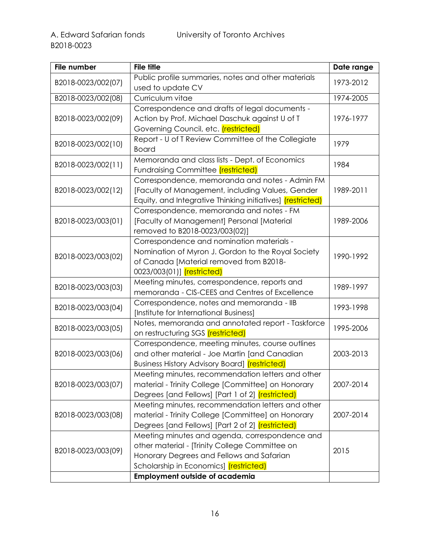| File number        | <b>File title</b>                                                 | Date range |
|--------------------|-------------------------------------------------------------------|------------|
| B2018-0023/002(07) | Public profile summaries, notes and other materials               | 1973-2012  |
|                    | used to update CV                                                 |            |
| B2018-0023/002(08) | Curriculum vitae                                                  | 1974-2005  |
|                    | Correspondence and drafts of legal documents -                    |            |
| B2018-0023/002(09) | Action by Prof. Michael Daschuk against U of T                    | 1976-1977  |
|                    | Governing Council, etc. <i>(restricted)</i>                       |            |
| B2018-0023/002(10) | Report - U of T Review Committee of the Collegiate                | 1979       |
|                    | <b>Board</b>                                                      |            |
| B2018-0023/002(11) | Memoranda and class lists - Dept. of Economics                    | 1984       |
|                    | <b>Fundraising Committee (restricted)</b>                         |            |
|                    | Correspondence, memoranda and notes - Admin FM                    |            |
| B2018-0023/002(12) | [Faculty of Management, including Values, Gender                  | 1989-2011  |
|                    | Equity, and Integrative Thinking initiatives] <i>(restricted)</i> |            |
|                    | Correspondence, memoranda and notes - FM                          |            |
| B2018-0023/003(01) | [Faculty of Management] Personal [Material                        | 1989-2006  |
|                    | removed to B2018-0023/003(02)]                                    |            |
|                    | Correspondence and nomination materials -                         |            |
| B2018-0023/003(02) | Nomination of Myron J. Gordon to the Royal Society                | 1990-1992  |
|                    | of Canada [Material removed from B2018-                           |            |
|                    | 0023/003(01)] <i>(restricted)</i>                                 |            |
| B2018-0023/003(03) | Meeting minutes, correspondence, reports and                      | 1989-1997  |
|                    | memoranda - CIS-CEES and Centres of Excellence                    |            |
| B2018-0023/003(04) | Correspondence, notes and memoranda - IIB                         | 1993-1998  |
|                    | [Institute for International Business]                            |            |
| B2018-0023/003(05) | Notes, memoranda and annotated report - Taskforce                 | 1995-2006  |
|                    | on restructuring SGS <i>(restricted)</i>                          |            |
|                    | Correspondence, meeting minutes, course outlines                  |            |
| B2018-0023/003(06) | and other material - Joe Martin [and Canadian                     | 2003-2013  |
|                    | Business History Advisory Board] (restricted)                     |            |
|                    | Meeting minutes, recommendation letters and other                 |            |
| B2018-0023/003(07) | material - Trinity College [Committee] on Honorary                | 2007-2014  |
|                    | Degrees [and Fellows] [Part 1 of 2] <i>(restricted)</i>           |            |
|                    | Meeting minutes, recommendation letters and other                 |            |
| B2018-0023/003(08) | material - Trinity College [Committee] on Honorary                | 2007-2014  |
|                    | Degrees [and Fellows] [Part 2 of 2] <i>(restricted)</i>           |            |
|                    | Meeting minutes and agenda, correspondence and                    |            |
| B2018-0023/003(09) | other material - [Trinity College Committee on                    | 2015       |
|                    | Honorary Degrees and Fellows and Safarian                         |            |
|                    | Scholarship in Economics] (restricted)                            |            |
|                    | <b>Employment outside of academia</b>                             |            |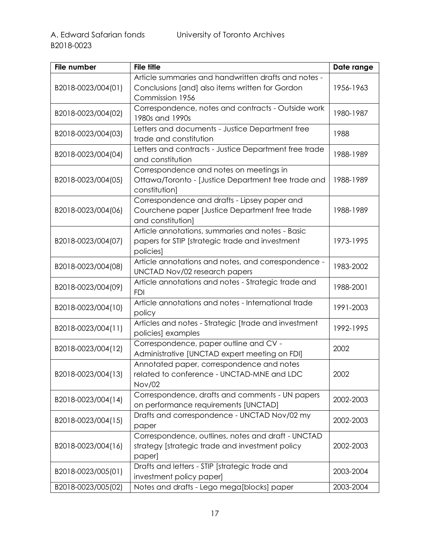| File number        | <b>File title</b>                                                 | Date range |
|--------------------|-------------------------------------------------------------------|------------|
|                    | Article summaries and handwritten drafts and notes -              |            |
| B2018-0023/004(01) | Conclusions [and] also items written for Gordon                   | 1956-1963  |
|                    | Commission 1956                                                   |            |
| B2018-0023/004(02) | Correspondence, notes and contracts - Outside work                | 1980-1987  |
|                    | 1980s and 1990s                                                   |            |
| B2018-0023/004(03) | Letters and documents - Justice Department free                   | 1988       |
|                    | trade and constitution                                            |            |
| B2018-0023/004(04) | Letters and contracts - Justice Department free trade             | 1988-1989  |
|                    | and constitution                                                  |            |
|                    | Correspondence and notes on meetings in                           |            |
| B2018-0023/004(05) | Ottawa/Toronto - [Justice Department free trade and               | 1988-1989  |
|                    | constitution]                                                     |            |
|                    | Correspondence and drafts - Lipsey paper and                      |            |
| B2018-0023/004(06) | Courchene paper [Justice Department free trade                    | 1988-1989  |
|                    | and constitution]                                                 |            |
|                    | Article annotations, summaries and notes - Basic                  |            |
| B2018-0023/004(07) | papers for STIP [strategic trade and investment                   | 1973-1995  |
|                    | policies]                                                         |            |
| B2018-0023/004(08) | Article annotations and notes, and correspondence -               | 1983-2002  |
|                    | UNCTAD Nov/02 research papers                                     |            |
| B2018-0023/004(09) | Article annotations and notes - Strategic trade and               | 1988-2001  |
|                    | <b>FDI</b><br>Article annotations and notes - International trade |            |
| B2018-0023/004(10) | policy                                                            | 1991-2003  |
|                    | Articles and notes - Strategic [trade and investment              |            |
| B2018-0023/004(11) | policies) examples                                                | 1992-1995  |
|                    | Correspondence, paper outline and CV -                            |            |
| B2018-0023/004(12) | Administrative [UNCTAD expert meeting on FDI]                     | 2002       |
|                    | Annotated paper, correspondence and notes                         |            |
| B2018-0023/004(13) | related to conference - UNCTAD-MNE and LDC                        | 2002       |
|                    | <b>Nov/02</b>                                                     |            |
|                    | Correspondence, drafts and comments - UN papers                   |            |
| B2018-0023/004(14) | on performance requirements [UNCTAD]                              | 2002-2003  |
|                    | Drafts and correspondence - UNCTAD Nov/02 my                      |            |
| B2018-0023/004(15) | paper                                                             | 2002-2003  |
|                    | Correspondence, outlines, notes and draft - UNCTAD                |            |
| B2018-0023/004(16) | strategy [strategic trade and investment policy                   | 2002-2003  |
|                    | paper]                                                            |            |
| B2018-0023/005(01) | Drafts and letters - STIP [strategic trade and                    | 2003-2004  |
|                    | investment policy paper]                                          |            |
| B2018-0023/005(02) | Notes and drafts - Lego mega[blocks] paper                        | 2003-2004  |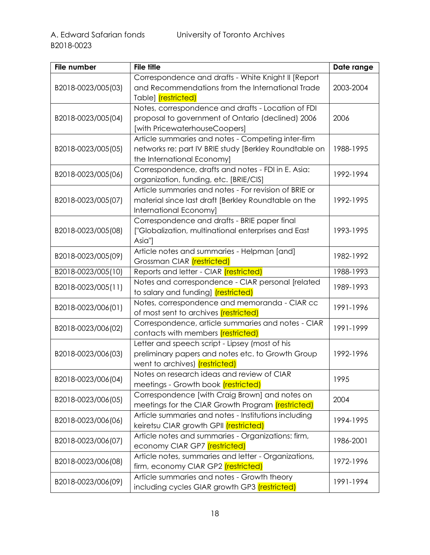| File number        | <b>File title</b>                                                                             | Date range |
|--------------------|-----------------------------------------------------------------------------------------------|------------|
|                    | Correspondence and drafts - White Knight II [Report                                           |            |
| B2018-0023/005(03) | and Recommendations from the International Trade                                              | 2003-2004  |
|                    | Table] (restricted)                                                                           |            |
|                    | Notes, correspondence and drafts - Location of FDI                                            |            |
| B2018-0023/005(04) | proposal to government of Ontario (declined) 2006                                             | 2006       |
|                    | [with PricewaterhouseCoopers]                                                                 |            |
|                    | Article summaries and notes - Competing inter-firm                                            |            |
| B2018-0023/005(05) | networks re: part IV BRIE study [Berkley Roundtable on                                        | 1988-1995  |
|                    | the International Economy]                                                                    |            |
| B2018-0023/005(06) | Correspondence, drafts and notes - FDI in E. Asia:                                            | 1992-1994  |
|                    | organization, funding, etc. [BRIE/CIS]                                                        |            |
|                    | Article summaries and notes - For revision of BRIE or                                         |            |
| B2018-0023/005(07) | material since last draft [Berkley Roundtable on the                                          | 1992-1995  |
|                    | International Economy]                                                                        |            |
|                    | Correspondence and drafts - BRIE paper final                                                  |            |
| B2018-0023/005(08) | ["Globalization, multinational enterprises and East                                           | 1993-1995  |
|                    | Asia"]                                                                                        |            |
| B2018-0023/005(09) | Article notes and summaries - Helpman [and]                                                   | 1982-1992  |
|                    | Grossman CIAR (restricted)                                                                    |            |
| B2018-0023/005(10) | Reports and letter - CIAR <i>(restricted)</i>                                                 | 1988-1993  |
| B2018-0023/005(11) | Notes and correspondence - CIAR personal [related                                             | 1989-1993  |
|                    | to salary and funding] <i>(restricted)</i>                                                    |            |
| B2018-0023/006(01) | Notes, correspondence and memoranda - CIAR cc<br>of most sent to archives <i>(restricted)</i> | 1991-1996  |
|                    | Correspondence, article summaries and notes - CIAR                                            |            |
| B2018-0023/006(02) | contacts with members <i>(restricted)</i>                                                     | 1991-1999  |
|                    | Letter and speech script - Lipsey (most of his                                                |            |
| B2018-0023/006(03) | preliminary papers and notes etc. to Growth Group                                             | 1992-1996  |
|                    | went to archives) <i>(restricted)</i>                                                         |            |
|                    | Notes on research ideas and review of CIAR                                                    |            |
| B2018-0023/006(04) | meetings - Growth book <i>(restricted)</i>                                                    | 1995       |
|                    | Correspondence [with Craig Brown] and notes on                                                |            |
| B2018-0023/006(05) | meetings for the CIAR Growth Program <i>(restricted)</i>                                      | 2004       |
|                    | Article summaries and notes - Institutions including                                          |            |
| B2018-0023/006(06) | keiretsu CIAR growth GPII <i>(restricted)</i>                                                 | 1994-1995  |
| B2018-0023/006(07) | Article notes and summaries - Organizations: firm,                                            |            |
|                    | economy CIAR GP7 (restricted)                                                                 | 1986-2001  |
|                    | Article notes, summaries and letter - Organizations,                                          |            |
| B2018-0023/006(08) | firm, economy CIAR GP2 (restricted)                                                           | 1972-1996  |
|                    | Article summaries and notes - Growth theory                                                   |            |
| B2018-0023/006(09) | including cycles GIAR growth GP3 <i>(restricted)</i>                                          | 1991-1994  |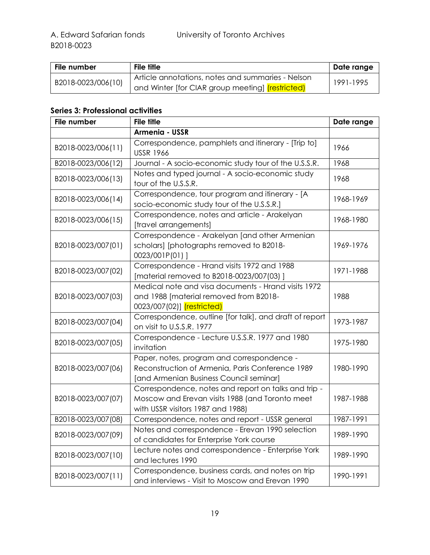| File number        | <b>File title</b>                                       | ∣ Date range |
|--------------------|---------------------------------------------------------|--------------|
| B2018-0023/006(10) | Article annotations, notes and summaries - Nelson       | 1991-1995    |
|                    | and Winter [for CIAR group meeting] <i>(restricted)</i> |              |

## <span id="page-18-0"></span>**Series 3: Professional activities**

| File number        | <b>File title</b>                                                                                                                            | Date range |
|--------------------|----------------------------------------------------------------------------------------------------------------------------------------------|------------|
|                    | Armenia - USSR                                                                                                                               |            |
| B2018-0023/006(11) | Correspondence, pamphlets and itinerary - [Trip to]<br><b>USSR 1966</b>                                                                      | 1966       |
| B2018-0023/006(12) | Journal - A socio-economic study tour of the U.S.S.R.                                                                                        | 1968       |
| B2018-0023/006(13) | Notes and typed journal - A socio-economic study<br>tour of the U.S.S.R.                                                                     | 1968       |
| B2018-0023/006(14) | Correspondence, tour program and itinerary - [A<br>socio-economic study tour of the U.S.S.R.]                                                | 1968-1969  |
| B2018-0023/006(15) | Correspondence, notes and article - Arakelyan<br>[travel arrangements]                                                                       | 1968-1980  |
| B2018-0023/007(01) | Correspondence - Arakelyan [and other Armenian<br>scholars] [photographs removed to B2018-<br>0023/001P(01)]                                 | 1969-1976  |
| B2018-0023/007(02) | Correspondence - Hrand visits 1972 and 1988<br>[material removed to B2018-0023/007(03)]                                                      | 1971-1988  |
| B2018-0023/007(03) | Medical note and visa documents - Hrand visits 1972<br>and 1988 [material removed from B2018-<br>0023/007(02)] <i>(restricted)</i>           | 1988       |
| B2018-0023/007(04) | Correspondence, outline [for talk], and draft of report<br>on visit to U.S.S.R. 1977                                                         | 1973-1987  |
| B2018-0023/007(05) | Correspondence - Lecture U.S.S.R. 1977 and 1980<br>invitation                                                                                | 1975-1980  |
| B2018-0023/007(06) | Paper, notes, program and correspondence -<br>Reconstruction of Armenia, Paris Conference 1989<br>[and Armenian Business Council seminar]    | 1980-1990  |
| B2018-0023/007(07) | Correspondence, notes and report on talks and trip -<br>Moscow and Erevan visits 1988 (and Toronto meet<br>with USSR visitors 1987 and 1988) | 1987-1988  |
| B2018-0023/007(08) | Correspondence, notes and report - USSR general                                                                                              | 1987-1991  |
| B2018-0023/007(09) | Notes and correspondence - Erevan 1990 selection<br>of candidates for Enterprise York course                                                 | 1989-1990  |
| B2018-0023/007(10) | Lecture notes and correspondence - Enterprise York<br>and lectures 1990                                                                      | 1989-1990  |
| B2018-0023/007(11) | Correspondence, business cards, and notes on trip<br>and interviews - Visit to Moscow and Erevan 1990                                        | 1990-1991  |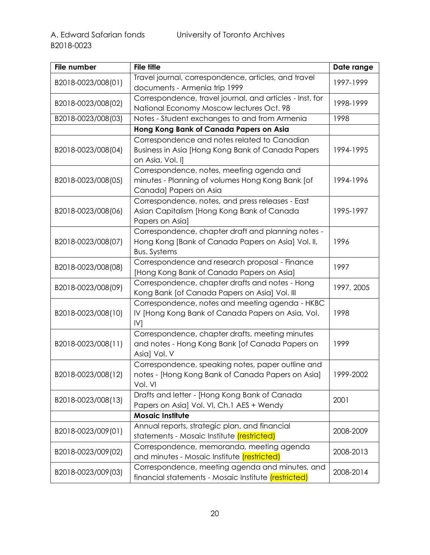| File number         | <b>File title</b>                                                                                                               | Date range |
|---------------------|---------------------------------------------------------------------------------------------------------------------------------|------------|
| B2018-0023/008(01)  | Travel journal, correspondence, articles, and travel<br>documents - Armenia trip 1999                                           | 1997-1999  |
| B2018-0023/008(02)  | Correspondence, travel journal, and articles - Inst. for<br>National Economy Moscow lectures Oct. 98                            | 1998-1999  |
| B2018-0023/008(03)  | Notes - Student exchanges to and from Armenia                                                                                   | 1998       |
|                     | Hong Kong Bank of Canada Papers on Asia                                                                                         |            |
| B2018-0023/008(04)  | Correspondence and notes related to Canadian<br>Business in Asia [Hong Kong Bank of Canada Papers<br>on Asia, Vol. I]           | 1994-1995  |
| B2018-0023/008(05)  | Correspondence, notes, meeting agenda and<br>minutes - Planning of volumes Hong Kong Bank [of<br>Canada] Papers on Asia         | 1994-1996  |
| B2018-0023/008(06)  | Correspondence, notes, and press releases - East<br>Asian Capitalism [Hong Kong Bank of Canada<br>Papers on Asia]               | 1995-1997  |
| B2018-0023/008(07)  | Correspondence, chapter draft and planning notes -<br>Hong Kong [Bank of Canada Papers on Asia] Vol. II,<br><b>Bus. Systems</b> | 1996       |
| B2018-0023/008(08)  | Correspondence and research proposal - Finance<br>[Hong Kong Bank of Canada Papers on Asia]                                     | 1997       |
| B2018-0023/008(09)  | Correspondence, chapter drafts and notes - Hong<br>Kong Bank [of Canada Papers on Asia] Vol. III                                | 1997, 2005 |
| B2018-0023/008(10)  | Correspondence, notes and meeting agenda - HKBC<br>IV [Hong Kong Bank of Canada Papers on Asia, Vol.<br>IV                      | 1998       |
| B2018-0023/008(11)  | Correspondence, chapter drafts, meeting minutes<br>and notes - Hong Kong Bank [of Canada Papers on<br>Asia] Vol. V              | 1999       |
| B2018-0023/008(12)  | Correspondence, speaking notes, paper outline and<br>notes - [Hong Kong Bank of Canada Papers on Asia]<br>Vol. VI               | 1999-2002  |
| B2018-0023/008(13)  | Drafts and letter - [Hong Kong Bank of Canada<br>Papers on Asia] Vol. VI, Ch.1 AES + Wendy                                      | 2001       |
|                     | <b>Mosaic Institute</b>                                                                                                         |            |
| B2018-0023/009(01)  | Annual reports, strategic plan, and financial<br>statements - Mosaic Institute <i>(restricted)</i>                              | 2008-2009  |
| B2018-0023/009 (02) | Correspondence, memoranda, meeting agenda<br>and minutes - Mosaic Institute <i>(restricted)</i>                                 | 2008-2013  |
| B2018-0023/009 (03) | Correspondence, meeting agenda and minutes, and<br>financial statements - Mosaic Institute <i>(restricted)</i>                  | 2008-2014  |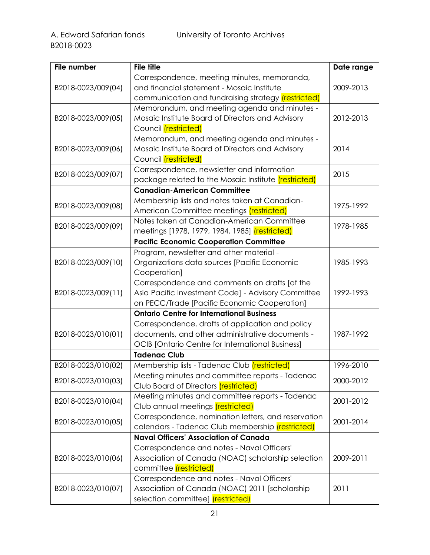| File number         | <b>File title</b>                                           | Date range |
|---------------------|-------------------------------------------------------------|------------|
|                     | Correspondence, meeting minutes, memoranda,                 |            |
| B2018-0023/009 (04) | and financial statement - Mosaic Institute                  | 2009-2013  |
|                     | communication and fundraising strategy <i>(restricted)</i>  |            |
|                     | Memorandum, and meeting agenda and minutes -                |            |
| B2018-0023/009 (05) | Mosaic Institute Board of Directors and Advisory            | 2012-2013  |
|                     | Council (restricted)                                        |            |
|                     | Memorandum, and meeting agenda and minutes -                |            |
| B2018-0023/009 (06) | Mosaic Institute Board of Directors and Advisory            | 2014       |
|                     | Council (restricted)                                        |            |
|                     | Correspondence, newsletter and information                  |            |
| B2018-0023/009(07)  | package related to the Mosaic Institute <i>(restricted)</i> | 2015       |
|                     | <b>Canadian-American Committee</b>                          |            |
|                     | Membership lists and notes taken at Canadian-               |            |
| B2018-0023/009 (08) | American Committee meetings <i>(restricted)</i>             | 1975-1992  |
|                     | Notes taken at Canadian-American Committee                  |            |
| B2018-0023/009(09)  | meetings [1978, 1979, 1984, 1985] <i>(restricted)</i>       | 1978-1985  |
|                     | <b>Pacific Economic Cooperation Committee</b>               |            |
|                     | Program, newsletter and other material -                    |            |
| B2018-0023/009(10)  | Organizations data sources [Pacific Economic                | 1985-1993  |
|                     | Cooperation]                                                |            |
|                     | Correspondence and comments on drafts [of the               |            |
| B2018-0023/009(11)  | Asia Pacific Investment Code] - Advisory Committee          | 1992-1993  |
|                     | on PECC/Trade [Pacific Economic Cooperation]                |            |
|                     | <b>Ontario Centre for International Business</b>            |            |
|                     | Correspondence, drafts of application and policy            |            |
| B2018-0023/010(01)  | documents, and other administrative documents -             | 1987-1992  |
|                     | <b>OCIB</b> [Ontario Centre for International Business]     |            |
|                     | <b>Tadenac Club</b>                                         |            |
| B2018-0023/010(02)  | Membership lists - Tadenac Club <i>(restricted)</i>         | 1996-2010  |
| B2018-0023/010(03)  | Meeting minutes and committee reports - Tadenac             | 2000-2012  |
|                     | Club Board of Directors <i>(restricted)</i>                 |            |
| B2018-0023/010(04)  | Meeting minutes and committee reports - Tadenac             | 2001-2012  |
|                     | Club annual meetings (restricted)                           |            |
|                     | Correspondence, nomination letters, and reservation         | 2001-2014  |
| B2018-0023/010(05)  | calendars - Tadenac Club membership <i>(restricted)</i>     |            |
|                     | <b>Naval Officers' Association of Canada</b>                |            |
|                     | Correspondence and notes - Naval Officers'                  |            |
| B2018-0023/010(06)  | Association of Canada (NOAC) scholarship selection          | 2009-2011  |
|                     | committee (restricted)                                      |            |
|                     | Correspondence and notes - Naval Officers'                  |            |
| B2018-0023/010(07)  | Association of Canada (NOAC) 2011 [scholarship              | 2011       |
|                     | selection committee] <i>(restricted)</i>                    |            |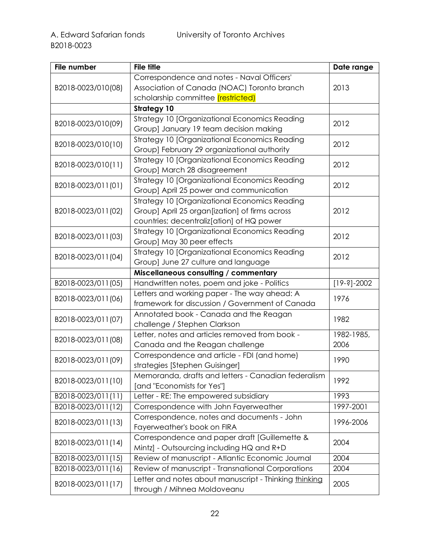| File number        | <b>File title</b>                                     | Date range    |
|--------------------|-------------------------------------------------------|---------------|
|                    | Correspondence and notes - Naval Officers'            |               |
| B2018-0023/010(08) | Association of Canada (NOAC) Toronto branch           | 2013          |
|                    | scholarship committee <i>(restricted)</i>             |               |
|                    | <b>Strategy 10</b>                                    |               |
|                    | Strategy 10 [Organizational Economics Reading         | 2012          |
| B2018-0023/010(09) | Group] January 19 team decision making                |               |
|                    | Strategy 10 [Organizational Economics Reading         | 2012          |
| B2018-0023/010(10) | Group] February 29 organizational authority           |               |
| B2018-0023/010(11) | Strategy 10 [Organizational Economics Reading         | 2012          |
|                    | Group] March 28 disagreement                          |               |
| B2018-0023/011(01) | <b>Strategy 10 [Organizational Economics Reading</b>  | 2012          |
|                    | Group] April 25 power and communication               |               |
|                    | Strategy 10 [Organizational Economics Reading         |               |
| B2018-0023/011(02) | Group] April 25 organ[ization] of firms across        | 2012          |
|                    | countries; decentraliz[ation] of HQ power             |               |
| B2018-0023/011(03) | Strategy 10 [Organizational Economics Reading         | 2012          |
|                    | Group] May 30 peer effects                            |               |
| B2018-0023/011(04) | Strategy 10 [Organizational Economics Reading         | 2012          |
|                    | Group] June 27 culture and language                   |               |
|                    | Miscellaneous consulting / commentary                 |               |
| B2018-0023/011(05) | Handwritten notes, poem and joke - Politics           | $[19-3]-2002$ |
| B2018-0023/011(06) | Letters and working paper - The way ahead: A          | 1976          |
|                    | framework for discussion / Government of Canada       |               |
| B2018-0023/011(07) | Annotated book - Canada and the Reagan                | 1982          |
|                    | challenge / Stephen Clarkson                          |               |
| B2018-0023/011(08) | Letter, notes and articles removed from book -        | 1982-1985,    |
|                    | Canada and the Reagan challenge                       | 2006          |
| B2018-0023/011(09) | Correspondence and article - FDI (and home)           | 1990          |
|                    | strategies [Stephen Guisinger]                        |               |
| B2018-0023/011(10) | Memoranda, drafts and letters - Canadian federalism   | 1992          |
|                    | [and "Economists for Yes"]                            |               |
| B2018-0023/011(11) | Letter - RE: The empowered subsidiary                 | 1993          |
| B2018-0023/011(12) | Correspondence with John Fayerweather                 | 1997-2001     |
| B2018-0023/011(13) | Correspondence, notes and documents - John            |               |
|                    | Fayerweather's book on FIRA                           | 1996-2006     |
|                    | Correspondence and paper draft [Guillemette &         | 2004          |
| B2018-0023/011(14) | Mintz] - Outsourcing including HQ and R+D             |               |
| B2018-0023/011(15) | Review of manuscript - Atlantic Economic Journal      | 2004          |
| B2018-0023/011(16) | Review of manuscript - Transnational Corporations     | 2004          |
| B2018-0023/011(17) | Letter and notes about manuscript - Thinking thinking | 2005          |
|                    | through / Mihnea Moldoveanu                           |               |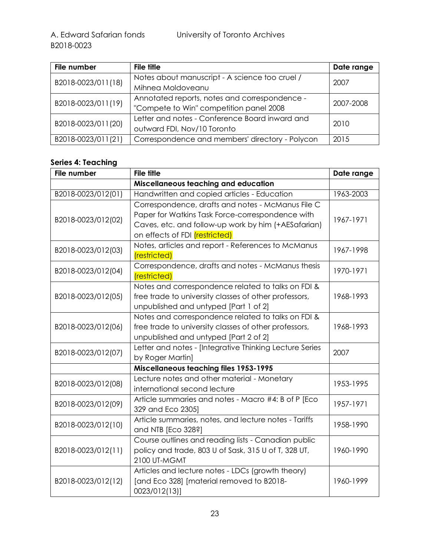| File number        | <b>File title</b>                               | Date range |
|--------------------|-------------------------------------------------|------------|
| B2018-0023/011(18) | Notes about manuscript - A science too cruel /  | 2007       |
|                    | Mihnea Moldoveanu                               |            |
| B2018-0023/011(19) | Annotated reports, notes and correspondence -   | 2007-2008  |
|                    | "Compete to Win" competition panel 2008         |            |
| B2018-0023/011(20) | Letter and notes - Conference Board inward and  | 2010       |
|                    | outward FDI, Nov/10 Toronto                     |            |
| B2018-0023/011(21) | Correspondence and members' directory - Polycon | 2015       |

#### <span id="page-22-0"></span>**Series 4: Teaching**

| File number        | <b>File title</b>                                       | Date range |
|--------------------|---------------------------------------------------------|------------|
|                    | Miscellaneous teaching and education                    |            |
| B2018-0023/012(01) | Handwritten and copied articles - Education             | 1963-2003  |
|                    | Correspondence, drafts and notes - McManus File C       |            |
| B2018-0023/012(02) | Paper for Watkins Task Force-correspondence with        | 1967-1971  |
|                    | Caves, etc. and follow-up work by him (+AESafarian)     |            |
|                    | on effects of FDI <i>(restricted)</i>                   |            |
| B2018-0023/012(03) | Notes, articles and report - References to McManus      | 1967-1998  |
|                    | (restricted)                                            |            |
| B2018-0023/012(04) | Correspondence, drafts and notes - McManus thesis       | 1970-1971  |
|                    | (restricted)                                            |            |
|                    | Notes and correspondence related to talks on FDI &      |            |
| B2018-0023/012(05) | free trade to university classes of other professors,   | 1968-1993  |
|                    | unpublished and untyped [Part 1 of 2]                   |            |
|                    | Notes and correspondence related to talks on FDI &      |            |
| B2018-0023/012(06) | free trade to university classes of other professors,   | 1968-1993  |
|                    | unpublished and untyped [Part 2 of 2]                   |            |
| B2018-0023/012(07) | Letter and notes - [Integrative Thinking Lecture Series | 2007       |
|                    | by Roger Martin]                                        |            |
|                    | Miscellaneous teaching files 1953-1995                  |            |
| B2018-0023/012(08) | Lecture notes and other material - Monetary             | 1953-1995  |
|                    | international second lecture                            |            |
| B2018-0023/012(09) | Article summaries and notes - Macro #4: B of P [Eco     | 1957-1971  |
|                    | 329 and Eco 2305]                                       |            |
| B2018-0023/012(10) | Article summaries, notes, and lecture notes - Tariffs   | 1958-1990  |
|                    | and NTB [Eco 328?]                                      |            |
| B2018-0023/012(11) | Course outlines and reading lists - Canadian public     |            |
|                    | policy and trade, 803 U of Sask, 315 U of T, 328 UT,    | 1960-1990  |
|                    | 2100 UT-MGMT                                            |            |
|                    | Articles and lecture notes - LDCs (growth theory)       |            |
| B2018-0023/012(12) | [and Eco 328] [material removed to B2018-               | 1960-1999  |
|                    | 0023/012(13)]                                           |            |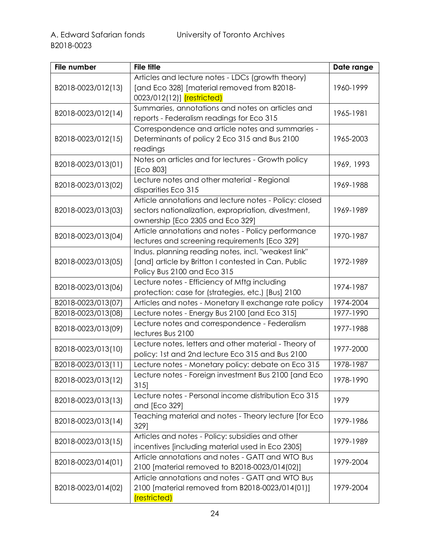| File number        | <b>File title</b>                                      | Date range |
|--------------------|--------------------------------------------------------|------------|
|                    | Articles and lecture notes - LDCs (growth theory)      |            |
| B2018-0023/012(13) | [and Eco 328] [material removed from B2018-            | 1960-1999  |
|                    | 0023/012(12)] <i>(restricted)</i>                      |            |
|                    | Summaries, annotations and notes on articles and       |            |
| B2018-0023/012(14) | reports - Federalism readings for Eco 315              | 1965-1981  |
|                    | Correspondence and article notes and summaries -       |            |
| B2018-0023/012(15) | Determinants of policy 2 Eco 315 and Bus 2100          | 1965-2003  |
|                    | readings                                               |            |
|                    | Notes on articles and for lectures - Growth policy     |            |
| B2018-0023/013(01) | [Eco 803]                                              | 1969, 1993 |
|                    | Lecture notes and other material - Regional            |            |
| B2018-0023/013(02) | disparities Eco 315                                    | 1969-1988  |
|                    | Article annotations and lecture notes - Policy: closed |            |
| B2018-0023/013(03) | sectors nationalization, expropriation, divestment,    | 1969-1989  |
|                    | ownership [Eco 2305 and Eco 329]                       |            |
|                    | Article annotations and notes - Policy performance     |            |
| B2018-0023/013(04) | lectures and screening requirements [Eco 329]          | 1970-1987  |
|                    | Indus. planning reading notes, incl. "weakest link"    |            |
| B2018-0023/013(05) | [and] article by Britton I contested in Can. Public    | 1972-1989  |
|                    | Policy Bus 2100 and Eco 315                            |            |
|                    | Lecture notes - Efficiency of Mftg including           |            |
| B2018-0023/013(06) | protection: case for (strategies, etc.) [Bus] 2100     | 1974-1987  |
| B2018-0023/013(07) | Articles and notes - Monetary II exchange rate policy  | 1974-2004  |
| B2018-0023/013(08) | Lecture notes - Energy Bus 2100 [and Eco 315]          | 1977-1990  |
|                    | Lecture notes and correspondence - Federalism          |            |
| B2018-0023/013(09) | lectures Bus 2100                                      | 1977-1988  |
|                    | Lecture notes, letters and other material - Theory of  |            |
| B2018-0023/013(10) | policy: 1st and 2nd lecture Eco 315 and Bus 2100       | 1977-2000  |
| B2018-0023/013(11) | Lecture notes - Monetary policy: debate on Eco 315     | 1978-1987  |
|                    | Lecture notes - Foreign investment Bus 2100 [and Eco   |            |
| B2018-0023/013(12) | 315                                                    | 1978-1990  |
|                    | Lecture notes - Personal income distribution Eco 315   |            |
| B2018-0023/013(13) | and [Eco 329]                                          | 1979       |
|                    | Teaching material and notes - Theory lecture [for Eco  |            |
| B2018-0023/013(14) | 3291                                                   | 1979-1986  |
|                    | Articles and notes - Policy: subsidies and other       | 1979-1989  |
| B2018-0023/013(15) | incentives [including material used in Eco 2305]       |            |
|                    | Article annotations and notes - GATT and WTO Bus       |            |
| B2018-0023/014(01) | 2100 [material removed to B2018-0023/014(02)]          | 1979-2004  |
|                    | Article annotations and notes - GATT and WTO Bus       |            |
| B2018-0023/014(02) | 2100 [material removed from B2018-0023/014(01)]        | 1979-2004  |
|                    | (restricted)                                           |            |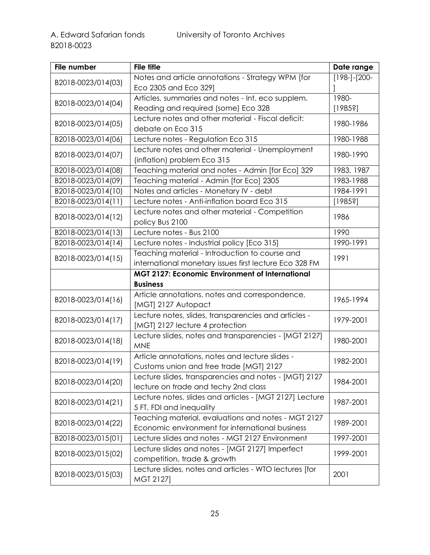| File number        | <b>File title</b>                                       | Date range     |
|--------------------|---------------------------------------------------------|----------------|
|                    | Notes and article annotations - Strategy WPM [for       | $[198-]-[200-$ |
| B2018-0023/014(03) | Eco 2305 and Eco 329]                                   |                |
| B2018-0023/014(04) | Articles, summaries and notes - Int. eco supplem.       | 1980-          |
|                    | Reading and required (some) Eco 328                     | [19853]        |
| B2018-0023/014(05) | Lecture notes and other material - Fiscal deficit:      | 1980-1986      |
|                    | debate on Eco 315                                       |                |
| B2018-0023/014(06) | Lecture notes - Regulation Eco 315                      | 1980-1988      |
| B2018-0023/014(07) | Lecture notes and other material - Unemployment         | 1980-1990      |
|                    | (inflation) problem Eco 315                             |                |
| B2018-0023/014(08) | Teaching material and notes - Admin [for Eco] 329       | 1983, 1987     |
| B2018-0023/014(09) | Teaching material - Admin [for Eco] 2305                | 1983-1988      |
| B2018-0023/014(10) | Notes and articles - Monetary IV - debt                 | 1984-1991      |
| B2018-0023/014(11) | Lecture notes - Anti-inflation board Eco 315            | [19853]        |
| B2018-0023/014(12) | Lecture notes and other material - Competition          | 1986           |
|                    | policy Bus 2100                                         |                |
| B2018-0023/014(13) | Lecture notes - Bus 2100                                | 1990           |
| B2018-0023/014(14) | Lecture notes - Industrial policy [Eco 315]             | 1990-1991      |
| B2018-0023/014(15) | Teaching material - Introduction to course and          | 1991           |
|                    | international monetary issues first lecture Eco 328 FM  |                |
|                    | <b>MGT 2127: Economic Environment of International</b>  |                |
|                    | <b>Business</b>                                         |                |
| B2018-0023/014(16) | Article annotations, notes and correspondence,          | 1965-1994      |
|                    | [MGT] 2127 Autopact                                     |                |
| B2018-0023/014(17) | Lecture notes, slides, transparencies and articles -    | 1979-2001      |
|                    | [MGT] 2127 lecture 4 protection                         |                |
| B2018-0023/014(18) | Lecture slides, notes and transparencies - [MGT 2127]   | 1980-2001      |
|                    | <b>MNE</b>                                              |                |
| B2018-0023/014(19) | Article annotations, notes and lecture slides -         | 1982-2001      |
|                    | Customs union and free trade [MGT] 2127                 |                |
| B2018-0023/014(20) | Lecture slides, transparencies and notes - [MGT] 2127   | 1984-2001      |
|                    | lecture on trade and techy 2nd class                    |                |
| B2018-0023/014(21) | Lecture notes, slides and articles - [MGT 2127] Lecture | 1987-2001      |
|                    | 5 FT, FDI and inequality                                |                |
| B2018-0023/014(22) | Teaching material, evaluations and notes - MGT 2127     | 1989-2001      |
|                    | Economic environment for international business         |                |
| B2018-0023/015(01) | Lecture slides and notes - MGT 2127 Environment         | 1997-2001      |
| B2018-0023/015(02) | Lecture slides and notes - [MGT 2127] Imperfect         | 1999-2001      |
|                    | competition, trade & growth                             |                |
| B2018-0023/015(03) | Lecture slides, notes and articles - WTO lectures [for  | 2001           |
|                    | MGT 2127]                                               |                |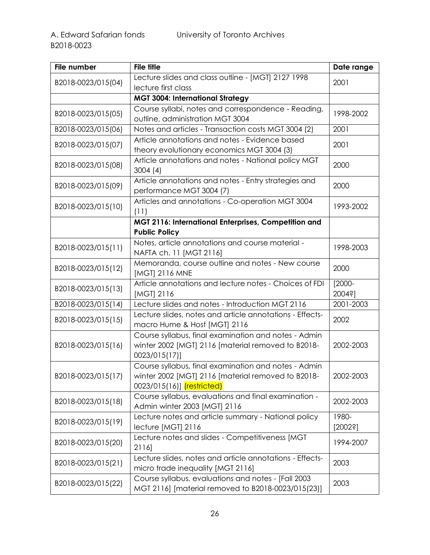| File number        | <b>File title</b>                                                                                                                               | Date range          |
|--------------------|-------------------------------------------------------------------------------------------------------------------------------------------------|---------------------|
| B2018-0023/015(04) | Lecture slides and class outline - [MGT] 2127 1998                                                                                              | 2001                |
|                    | lecture first class                                                                                                                             |                     |
|                    | <b>MGT 3004: International Strategy</b>                                                                                                         |                     |
| B2018-0023/015(05) | Course syllabi, notes and correspondence - Reading,<br>outline, administration MGT 3004                                                         | 1998-2002           |
| B2018-0023/015(06) | Notes and articles - Transaction costs MGT 3004 (2)                                                                                             | 2001                |
| B2018-0023/015(07) | Article annotations and notes - Evidence based<br>theory evolutionary economics MGT 3004 (3)                                                    | 2001                |
| B2018-0023/015(08) | Article annotations and notes - National policy MGT<br>3004(4)                                                                                  | 2000                |
| B2018-0023/015(09) | Article annotations and notes - Entry strategies and<br>performance MGT 3004 (7)                                                                | 2000                |
| B2018-0023/015(10) | Articles and annotations - Co-operation MGT 3004<br>(11)                                                                                        | 1993-2002           |
|                    | MGT 2116: International Enterprises, Competition and<br><b>Public Policy</b>                                                                    |                     |
| B2018-0023/015(11) | Notes, article annotations and course material -<br>NAFTA ch. 11 [MGT 2116]                                                                     | 1998-2003           |
| B2018-0023/015(12) | Memoranda, course outline and notes - New course<br>[MGT] 2116 MNE                                                                              | 2000                |
| B2018-0023/015(13) | Article annotations and lecture notes - Choices of FDI<br>[MGT] 2116                                                                            | $[2000 -$<br>2004?] |
| B2018-0023/015(14) | Lecture slides and notes - Introduction MGT 2116                                                                                                | 2001-2003           |
| B2018-0023/015(15) | Lecture slides, notes and article annotations - Effects-<br>macro Hume & Host [MGT] 2116                                                        | 2002                |
| B2018-0023/015(16) | Course syllabus, final examination and notes - Admin<br>winter 2002 [MGT] 2116 [material removed to B2018-<br>0023/015(17)]                     | 2002-2003           |
| B2018-0023/015(17) | Course syllabus, final examination and notes - Admin<br>winter 2002 [MGT] 2116 [material removed to B2018-<br>0023/015(16)] <i>(restricted)</i> | 2002-2003           |
| B2018-0023/015(18) | Course syllabus, evaluations and final examination -<br>Admin winter 2003 [MGT] 2116                                                            | 2002-2003           |
| B2018-0023/015(19) | Lecture notes and article summary - National policy<br>lecture [MGT] 2116                                                                       | 1980-<br>[20023]    |
| B2018-0023/015(20) | Lecture notes and slides - Competitiveness [MGT<br>2116]                                                                                        | 1994-2007           |
| B2018-0023/015(21) | Lecture slides, notes and article annotations - Effects-<br>micro trade inequality [MGT 2116]                                                   | 2003                |
| B2018-0023/015(22) | Course syllabus, evaluations and notes - [Fall 2003<br>MGT 2116] [material removed to B2018-0023/015(23)]                                       | 2003                |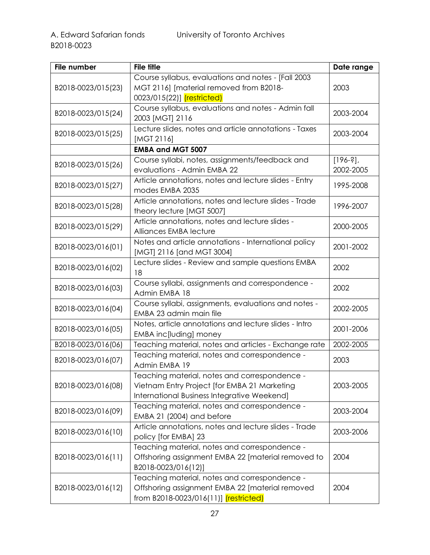| File number        | <b>File title</b>                                     | Date range  |
|--------------------|-------------------------------------------------------|-------------|
|                    | Course syllabus, evaluations and notes - [Fall 2003   |             |
| B2018-0023/015(23) | MGT 2116] [material removed from B2018-               | 2003        |
|                    | 0023/015(22)] (restricted)                            |             |
|                    | Course syllabus, evaluations and notes - Admin fall   | 2003-2004   |
| B2018-0023/015(24) | 2003 [MGT] 2116                                       |             |
| B2018-0023/015(25) | Lecture slides, notes and article annotations - Taxes | 2003-2004   |
|                    | [MGT 2116]                                            |             |
|                    | <b>EMBA and MGT 5007</b>                              |             |
| B2018-0023/015(26) | Course syllabi, notes, assignments/feedback and       | $[196-3]$ , |
|                    | evaluations - Admin EMBA 22                           | 2002-2005   |
|                    | Article annotations, notes and lecture slides - Entry |             |
| B2018-0023/015(27) | modes EMBA 2035                                       | 1995-2008   |
| B2018-0023/015(28) | Article annotations, notes and lecture slides - Trade | 1996-2007   |
|                    | theory lecture [MGT 5007]                             |             |
|                    | Article annotations, notes and lecture slides -       | 2000-2005   |
| B2018-0023/015(29) | Alliances EMBA lecture                                |             |
|                    | Notes and article annotations - International policy  |             |
| B2018-0023/016(01) | [MGT] 2116 [and MGT 3004]                             | 2001-2002   |
|                    | Lecture slides - Review and sample questions EMBA     |             |
| B2018-0023/016(02) | 18                                                    | 2002        |
|                    | Course syllabi, assignments and correspondence -      | 2002        |
| B2018-0023/016(03) | Admin EMBA 18                                         |             |
|                    | Course syllabi, assignments, evaluations and notes -  | 2002-2005   |
| B2018-0023/016(04) | EMBA 23 admin main file                               |             |
|                    | Notes, article annotations and lecture slides - Intro | 2001-2006   |
| B2018-0023/016(05) | EMBA inc[luding] money                                |             |
| B2018-0023/016(06) | Teaching material, notes and articles - Exchange rate | 2002-2005   |
|                    | Teaching material, notes and correspondence -         | 2003        |
| B2018-0023/016(07) | Admin EMBA 19                                         |             |
|                    | Teaching material, notes and correspondence -         |             |
| B2018-0023/016(08) | Vietnam Entry Project [for EMBA 21 Marketing          | 2003-2005   |
|                    | International Business Integrative Weekend]           |             |
|                    | Teaching material, notes and correspondence -         |             |
| B2018-0023/016(09) | EMBA 21 (2004) and before                             | 2003-2004   |
|                    | Article annotations, notes and lecture slides - Trade |             |
| B2018-0023/016(10) | policy [for EMBA] 23                                  | 2003-2006   |
|                    | Teaching material, notes and correspondence -         |             |
| B2018-0023/016(11) | Offshoring assignment EMBA 22 [material removed to    | 2004        |
|                    | B2018-0023/016(12)]                                   |             |
|                    | Teaching material, notes and correspondence -         |             |
| B2018-0023/016(12) | Offshoring assignment EMBA 22 [material removed       | 2004        |
|                    | from B2018-0023/016(11)] (restricted)                 |             |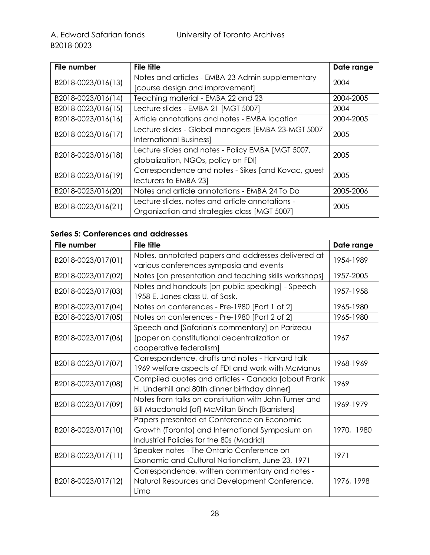| File number        | <b>File title</b>                                   | Date range |
|--------------------|-----------------------------------------------------|------------|
|                    | Notes and articles - EMBA 23 Admin supplementary    | 2004       |
| B2018-0023/016(13) | [course design and improvement]                     |            |
| B2018-0023/016(14) | Teaching material - EMBA 22 and 23                  | 2004-2005  |
| B2018-0023/016(15) | Lecture slides - EMBA 21 [MGT 5007]                 | 2004       |
| B2018-0023/016(16) | Article annotations and notes - EMBA location       | 2004-2005  |
| B2018-0023/016(17) | Lecture slides - Global managers [EMBA 23-MGT 5007  | 2005       |
|                    | <b>International Business]</b>                      |            |
| B2018-0023/016(18) | Lecture slides and notes - Policy EMBA [MGT 5007,   | 2005       |
|                    | globalization, NGOs, policy on FDI]                 |            |
| B2018-0023/016(19) | Correspondence and notes - Sikes [and Kovac, guest] | 2005       |
|                    | lecturers to EMBA 231                               |            |
| B2018-0023/016(20) | Notes and article annotations - EMBA 24 To Do       | 2005-2006  |
| B2018-0023/016(21) | Lecture slides, notes and article annotations -     | 2005       |
|                    | Organization and strategies class [MGT 5007]        |            |

## <span id="page-27-0"></span>**Series 5: Conferences and addresses**

| File number        | <b>File title</b>                                     | Date range |
|--------------------|-------------------------------------------------------|------------|
| B2018-0023/017(01) | Notes, annotated papers and addresses delivered at    | 1954-1989  |
|                    | various conferences symposia and events               |            |
| B2018-0023/017(02) | Notes [on presentation and teaching skills workshops] | 1957-2005  |
|                    | Notes and handouts [on public speaking] - Speech      | 1957-1958  |
| B2018-0023/017(03) | 1958 E. Jones class U. of Sask.                       |            |
| B2018-0023/017(04) | Notes on conferences - Pre-1980 [Part 1 of 2]         | 1965-1980  |
| B2018-0023/017(05) | Notes on conferences - Pre-1980 [Part 2 of 2]         | 1965-1980  |
|                    | Speech and [Safarian's commentary] on Parizeau        |            |
| B2018-0023/017(06) | [paper on constitutional decentralization or          | 1967       |
|                    | cooperative federalism]                               |            |
|                    | Correspondence, drafts and notes - Harvard talk       | 1968-1969  |
| B2018-0023/017(07) | 1969 welfare aspects of FDI and work with McManus     |            |
|                    | Compiled quotes and articles - Canada [about Frank    | 1969       |
| B2018-0023/017(08) | H. Underhill and 80th dinner birthday dinner]         |            |
| B2018-0023/017(09) | Notes from talks on constitution with John Turner and | 1969-1979  |
|                    | Bill Macdonald [of] McMillan Binch [Barristers]       |            |
|                    | Papers presented at Conference on Economic            |            |
| B2018-0023/017(10) | Growth (Toronto) and International Symposium on       | 1970, 1980 |
|                    | Industrial Policies for the 80s (Madrid)              |            |
|                    | Speaker notes - The Ontario Conference on             | 1971       |
| B2018-0023/017(11) | Exonomic and Cultural Nationalism, June 23, 1971      |            |
|                    | Correspondence, written commentary and notes -        |            |
| B2018-0023/017(12) | Natural Resources and Development Conference,         | 1976, 1998 |
|                    | Lima                                                  |            |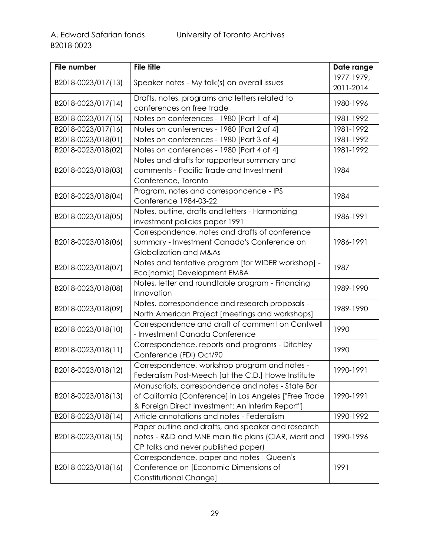| File number        | <b>File title</b>                                      | Date range |
|--------------------|--------------------------------------------------------|------------|
| B2018-0023/017(13) | Speaker notes - My talk(s) on overall issues           | 1977-1979, |
|                    |                                                        | 2011-2014  |
| B2018-0023/017(14) | Drafts, notes, programs and letters related to         | 1980-1996  |
|                    | conferences on free trade                              |            |
| B2018-0023/017(15) | Notes on conferences - 1980 [Part 1 of 4]              | 1981-1992  |
| B2018-0023/017(16) | Notes on conferences - 1980 [Part 2 of 4]              | 1981-1992  |
| B2018-0023/018(01) | Notes on conferences - 1980 [Part 3 of 4]              | 1981-1992  |
| B2018-0023/018(02) | Notes on conferences - 1980 [Part 4 of 4]              | 1981-1992  |
|                    | Notes and drafts for rapporteur summary and            |            |
| B2018-0023/018(03) | comments - Pacific Trade and Investment                | 1984       |
|                    | Conference, Toronto                                    |            |
|                    | Program, notes and correspondence - IPS                | 1984       |
| B2018-0023/018(04) | Conference 1984-03-22                                  |            |
|                    | Notes, outline, drafts and letters - Harmonizing       |            |
| B2018-0023/018(05) | investment policies paper 1991                         | 1986-1991  |
|                    | Correspondence, notes and drafts of conference         |            |
| B2018-0023/018(06) | summary - Investment Canada's Conference on            | 1986-1991  |
|                    | Globalization and M&As                                 |            |
|                    | Notes and tentative program [for WIDER workshop] -     |            |
| B2018-0023/018(07) | Eco[nomic] Development EMBA                            | 1987       |
|                    | Notes, letter and roundtable program - Financing       | 1989-1990  |
| B2018-0023/018(08) | Innovation                                             |            |
|                    | Notes, correspondence and research proposals -         | 1989-1990  |
| B2018-0023/018(09) | North American Project [meetings and workshops]        |            |
|                    | Correspondence and draft of comment on Cantwell        | 1990       |
| B2018-0023/018(10) | - Investment Canada Conference                         |            |
| B2018-0023/018(11) | Correspondence, reports and programs - Ditchley        | 1990       |
|                    | Conference (FDI) Oct/90                                |            |
| B2018-0023/018(12) | Correspondence, workshop program and notes -           | 1990-1991  |
|                    | Federalism Post-Meech [at the C.D.] Howe Institute     |            |
|                    | Manuscripts, correspondence and notes - State Bar      |            |
| B2018-0023/018(13) | of California [Conference] in Los Angeles ["Free Trade | 1990-1991  |
|                    | & Foreign Direct Investment: An Interim Report"]       |            |
| B2018-0023/018(14) | Article annotations and notes - Federalism             | 1990-1992  |
|                    | Paper outline and drafts, and speaker and research     |            |
| B2018-0023/018(15) | notes - R&D and MNE main file plans (CIAR, Merit and   | 1990-1996  |
|                    | CP talks and never published paper)                    |            |
|                    | Correspondence, paper and notes - Queen's              |            |
| B2018-0023/018(16) | Conference on [Economic Dimensions of                  | 1991       |
|                    | Constitutional Change]                                 |            |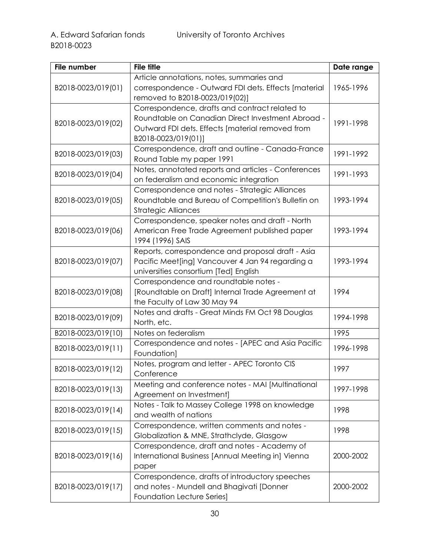| File number         | <b>File title</b>                                                                                | Date range |
|---------------------|--------------------------------------------------------------------------------------------------|------------|
|                     | Article annotations, notes, summaries and                                                        |            |
| B2018-0023/019(01)  | correspondence - Outward FDI dets. Effects [material                                             | 1965-1996  |
|                     | removed to B2018-0023/019(02)]                                                                   |            |
|                     | Correspondence, drafts and contract related to                                                   |            |
| B2018-0023/019(02)  | Roundtable on Canadian Direct Investment Abroad -                                                | 1991-1998  |
|                     | Outward FDI dets. Effects [material removed from                                                 |            |
|                     | B2018-0023/019(01)]                                                                              |            |
| B2018-0023/019 (03) | Correspondence, draft and outline - Canada-France                                                | 1991-1992  |
|                     | Round Table my paper 1991                                                                        |            |
| B2018-0023/019(04)  | Notes, annotated reports and articles - Conferences                                              | 1991-1993  |
|                     | on federalism and economic integration                                                           |            |
|                     | Correspondence and notes - Strategic Alliances                                                   |            |
| B2018-0023/019(05)  | Roundtable and Bureau of Competition's Bulletin on                                               | 1993-1994  |
|                     | <b>Strategic Alliances</b>                                                                       |            |
| B2018-0023/019(06)  | Correspondence, speaker notes and draft - North<br>American Free Trade Agreement published paper | 1993-1994  |
|                     | 1994 (1996) SAIS                                                                                 |            |
|                     | Reports, correspondence and proposal draft - Asia                                                |            |
| B2018-0023/019(07)  | Pacific Meet[ing] Vancouver 4 Jan 94 regarding a                                                 | 1993-1994  |
|                     | universities consortium [Ted] English                                                            |            |
|                     | Correspondence and roundtable notes -                                                            |            |
| B2018-0023/019(08)  | [Roundtable on Draft] Internal Trade Agreement at                                                | 1994       |
|                     | the Faculty of Law 30 May 94                                                                     |            |
|                     | Notes and drafts - Great Minds FM Oct 98 Douglas                                                 |            |
| B2018-0023/019(09)  | North, etc.                                                                                      | 1994-1998  |
| B2018-0023/019(10)  | Notes on federalism                                                                              | 1995       |
| B2018-0023/019(11)  | Correspondence and notes - [APEC and Asia Pacific                                                | 1996-1998  |
|                     | Foundation]                                                                                      |            |
| B2018-0023/019(12)  | Notes, program and letter - APEC Toronto CIS                                                     | 1997       |
|                     | Conference                                                                                       |            |
| B2018-0023/019(13)  | Meeting and conference notes - MAI [Multinational                                                | 1997-1998  |
|                     | Agreement on Investment]                                                                         |            |
| B2018-0023/019(14)  | Notes - Talk to Massey College 1998 on knowledge                                                 | 1998       |
|                     | and wealth of nations                                                                            |            |
| B2018-0023/019(15)  | Correspondence, written comments and notes -                                                     | 1998       |
|                     | Globalization & MNE, Strathclyde, Glasgow                                                        |            |
|                     | Correspondence, draft and notes - Academy of                                                     |            |
| B2018-0023/019(16)  | International Business [Annual Meeting in] Vienna                                                | 2000-2002  |
|                     | paper<br>Correspondence, drafts of introductory speeches                                         |            |
| B2018-0023/019(17)  | and notes - Mundell and Bhagivati [Donner                                                        | 2000-2002  |
|                     | <b>Foundation Lecture Series]</b>                                                                |            |
|                     |                                                                                                  |            |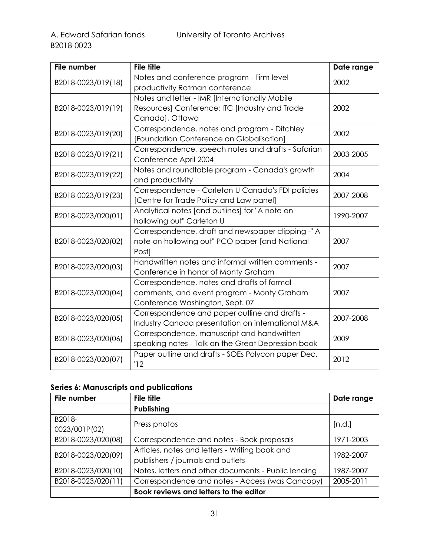| <b>File number</b> | <b>File title</b>                                  | Date range |
|--------------------|----------------------------------------------------|------------|
| B2018-0023/019(18) | Notes and conference program - Firm-level          | 2002       |
|                    | productivity Rotman conference                     |            |
|                    | Notes and letter - IMR [Internationally Mobile     |            |
| B2018-0023/019(19) | Resources] Conference: ITC [Industry and Trade     | 2002       |
|                    | Canada], Ottawa                                    |            |
| B2018-0023/019(20) | Correspondence, notes and program - Ditchley       | 2002       |
|                    | [Foundation Conference on Globalisation]           |            |
| B2018-0023/019(21) | Correspondence, speech notes and drafts - Safarian | 2003-2005  |
|                    | Conference April 2004                              |            |
| B2018-0023/019(22) | Notes and roundtable program - Canada's growth     | 2004       |
|                    | and productivity                                   |            |
| B2018-0023/019(23) | Correspondence - Carleton U Canada's FDI policies  | 2007-2008  |
|                    | [Centre for Trade Policy and Law panel]            |            |
| B2018-0023/020(01) | Analytical notes [and outlines] for "A note on     | 1990-2007  |
|                    | hollowing out" Carleton U                          |            |
|                    | Correspondence, draft and newspaper clipping -"A   |            |
| B2018-0023/020(02) | note on hollowing out" PCO paper [and National     | 2007       |
|                    | Post]                                              |            |
| B2018-0023/020(03) | Handwritten notes and informal written comments -  | 2007       |
|                    | Conference in honor of Monty Graham                |            |
|                    | Correspondence, notes and drafts of formal         |            |
| B2018-0023/020(04) | comments, and event program - Monty Graham         | 2007       |
|                    | Conference Washington, Sept. 07                    |            |
| B2018-0023/020(05) | Correspondence and paper outline and drafts -      | 2007-2008  |
|                    | Industry Canada presentation on international M&A  |            |
| B2018-0023/020(06) | Correspondence, manuscript and handwritten         | 2009       |
|                    | speaking notes - Talk on the Great Depression book |            |
| B2018-0023/020(07) | Paper outline and drafts - SOEs Polycon paper Dec. | 2012       |
|                    | '12                                                |            |

## <span id="page-30-0"></span>**Series 6: Manuscripts and publications**

| File number        | <b>File title</b>                                   | Date range |
|--------------------|-----------------------------------------------------|------------|
|                    | Publishing                                          |            |
| B2018-             | Press photos                                        |            |
| 0023/001P(02)      |                                                     | [n.d.]     |
| B2018-0023/020(08) | Correspondence and notes - Book proposals           | 1971-2003  |
| B2018-0023/020(09) | Articles, notes and letters - Writing book and      | 1982-2007  |
|                    | publishers / journals and outlets                   |            |
| B2018-0023/020(10) | Notes, letters and other documents - Public lending | 1987-2007  |
| B2018-0023/020(11) | Correspondence and notes - Access (was Cancopy)     | 2005-2011  |
|                    | Book reviews and letters to the editor              |            |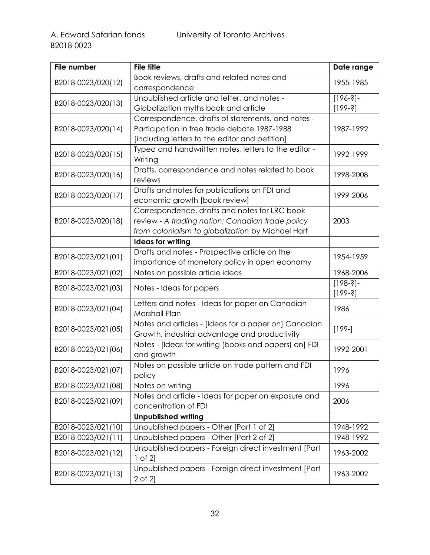| File number         | <b>File title</b>                                                    | Date range  |
|---------------------|----------------------------------------------------------------------|-------------|
| B2018-0023/020(12)  | Book reviews, drafts and related notes and                           | 1955-1985   |
|                     | correspondence                                                       |             |
| B2018-0023/020(13)  | Unpublished article and letter, and notes -                          | $[196-3]$ - |
|                     | Globalization myths book and article                                 | $[199-3]$   |
|                     | Correspondence, drafts of statements, and notes -                    |             |
| B2018-0023/020(14)  | Participation in free trade debate 1987-1988                         | 1987-1992   |
|                     | [including letters to the editor and petition]                       |             |
| B2018-0023/020(15)  | Typed and handwritten notes, letters to the editor -                 | 1992-1999   |
|                     | Writing                                                              |             |
| B2018-0023/020(16)  | Drafts, correspondence and notes related to book                     | 1998-2008   |
|                     | reviews                                                              |             |
| B2018-0023/020(17)  | Drafts and notes for publications on FDI and                         | 1999-2006   |
|                     | economic growth [book review]                                        |             |
|                     | Correspondence, drafts and notes for LRC book                        |             |
| B2018-0023/020(18)  | review - A trading nation: Canadian trade policy                     | 2003        |
|                     | from colonialism to globalization by Michael Hart                    |             |
|                     | <b>Ideas for writing</b>                                             |             |
| B2018-0023/021(01)  | Drafts and notes - Prospective article on the                        | 1954-1959   |
|                     | importance of monetary policy in open economy                        |             |
| B2018-0023/021 (02) | Notes on possible article ideas                                      | 1968-2006   |
| B2018-0023/021(03)  | Notes - Ideas for papers                                             | $[198-3]$ - |
|                     |                                                                      | $[199-3]$   |
| B2018-0023/021(04)  | Letters and notes - Ideas for paper on Canadian                      | 1986        |
|                     | Marshall Plan                                                        |             |
| B2018-0023/021(05)  | Notes and articles - [Ideas for a paper on] Canadian                 | $[199-]$    |
|                     | Growth, industrial advantage and productivity                        |             |
| B2018-0023/021(06)  | Notes - [Ideas for writing (books and papers) on] FDI                | 1992-2001   |
|                     | and growth                                                           |             |
| B2018-0023/021(07)  | Notes on possible article on trade pattern and FDI                   | 1996        |
|                     | policy                                                               |             |
| B2018-0023/021(08)  | Notes on writing                                                     | 1996        |
| B2018-0023/021(09)  | Notes and article - Ideas for paper on exposure and                  | 2006        |
|                     | concentration of FDI                                                 |             |
|                     | <b>Unpublished writing</b>                                           |             |
| B2018-0023/021(10)  | Unpublished papers - Other [Part 1 of 2]                             | 1948-1992   |
| B2018-0023/021(11)  | Unpublished papers - Other [Part 2 of 2]                             | 1948-1992   |
| B2018-0023/021(12)  | Unpublished papers - Foreign direct investment [Part<br>$1$ of $2$ ] | 1963-2002   |
|                     | Unpublished papers - Foreign direct investment [Part                 |             |
| B2018-0023/021(13)  | 2 of 2]                                                              | 1963-2002   |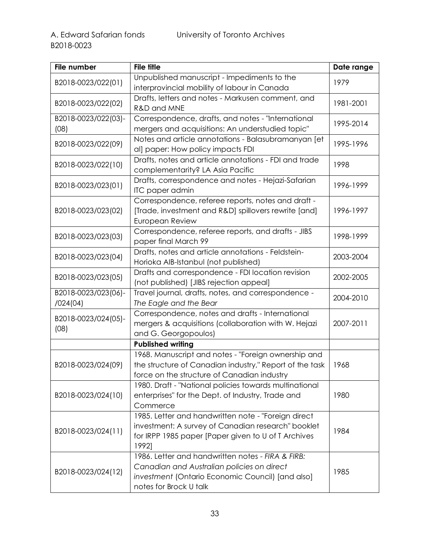| File number                     | <b>File title</b>                                                                                                                                                             | Date range |
|---------------------------------|-------------------------------------------------------------------------------------------------------------------------------------------------------------------------------|------------|
| B2018-0023/022(01)              | Unpublished manuscript - Impediments to the<br>interprovincial mobility of labour in Canada                                                                                   | 1979       |
| B2018-0023/022(02)              | Drafts, letters and notes - Markusen comment, and<br>R&D and MNE                                                                                                              | 1981-2001  |
| B2018-0023/022(03)-<br>(08)     | Correspondence, drafts, and notes - "International<br>mergers and acquisitions: An understudied topic"                                                                        | 1995-2014  |
| B2018-0023/022(09)              | Notes and article annotations - Balasubramanyan [et<br>al] paper: How policy impacts FDI                                                                                      | 1995-1996  |
| B2018-0023/022(10)              | Drafts, notes and article annotations - FDI and trade<br>complementarity? LA Asia Pacific                                                                                     | 1998       |
| B2018-0023/023(01)              | Drafts, correspondence and notes - Hejazi-Safarian<br>ITC paper admin                                                                                                         | 1996-1999  |
| B2018-0023/023(02)              | Correspondence, referee reports, notes and draft -<br>[Trade, investment and R&D] spillovers rewrite [and]<br>European Review                                                 | 1996-1997  |
| B2018-0023/023(03)              | Correspondence, referee reports, and drafts - JIBS<br>paper final March 99                                                                                                    | 1998-1999  |
| B2018-0023/023(04)              | Drafts, notes and article annotations - Feldstein-<br>Horioka AIB-Istanbul (not published)                                                                                    | 2003-2004  |
| B2018-0023/023(05)              | Drafts and correspondence - FDI location revision<br>(not published) [JIBS rejection appeal]                                                                                  | 2002-2005  |
| B2018-0023/023(06)-<br>/024(04) | Travel journal, drafts, notes, and correspondence -<br>The Eagle and the Bear                                                                                                 | 2004-2010  |
| B2018-0023/024(05)-<br>(08)     | Correspondence, notes and drafts - International<br>mergers & acquisitions (collaboration with W. Hejazi<br>and G. Georgopoulos)                                              | 2007-2011  |
|                                 | <b>Published writing</b>                                                                                                                                                      |            |
| B2018-0023/024(09)              | 1968. Manuscript and notes - "Foreign ownership and<br>the structure of Canadian industry," Report of the task<br>force on the structure of Canadian industry                 | 1968       |
| B2018-0023/024(10)              | 1980. Draft - "National policies towards multinational<br>enterprises" for the Dept. of Industry, Trade and<br>Commerce                                                       | 1980       |
| B2018-0023/024(11)              | 1985. Letter and handwritten note - "Foreign direct<br>investment: A survey of Canadian research" booklet<br>for IRPP 1985 paper [Paper given to U of T Archives<br>1992]     | 1984       |
| B2018-0023/024(12)              | 1986. Letter and handwritten notes - FIRA & FIRB:<br>Canadian and Australian policies on direct<br>investment (Ontario Economic Council) [and also]<br>notes for Brock U talk | 1985       |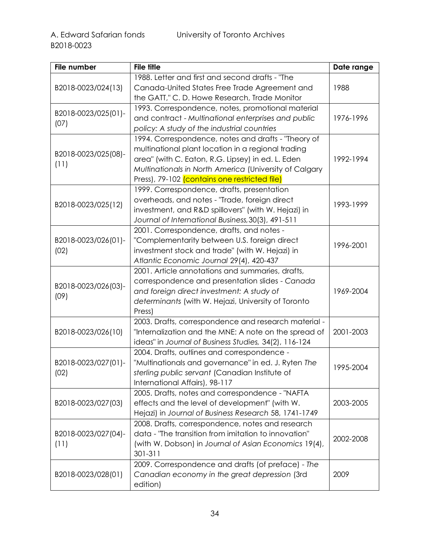| File number         | <b>File title</b>                                      | Date range |
|---------------------|--------------------------------------------------------|------------|
|                     | 1988. Letter and first and second drafts - "The        |            |
| B2018-0023/024(13)  | Canada-United States Free Trade Agreement and          | 1988       |
|                     | the GATT," C. D. Howe Research, Trade Monitor          |            |
|                     | 1993. Correspondence, notes, promotional material      |            |
| B2018-0023/025(01)- | and contract - Multinational enterprises and public    | 1976-1996  |
| (07)                | policy: A study of the industrial countries            |            |
|                     | 1994. Correspondence, notes and drafts - "Theory of    |            |
|                     | multinational plant location in a regional trading     |            |
| B2018-0023/025(08)- | area" (with C. Eaton, R.G. Lipsey) in ed. L. Eden      | 1992-1994  |
| (11)                | Multinationals in North America (University of Calgary |            |
|                     | Press), 79-102 (contains one restricted file)          |            |
|                     | 1999. Correspondence, drafts, presentation             |            |
|                     | overheads, and notes - "Trade, foreign direct          |            |
| B2018-0023/025(12)  | investment, and R&D spillovers" (with W. Hejazi) in    | 1993-1999  |
|                     | Journal of International Business, 30(3), 491-511      |            |
|                     | 2001. Correspondence, drafts, and notes -              |            |
| B2018-0023/026(01)- | "Complementarity between U.S. foreign direct           |            |
| (02)                | investment stock and trade" (with W. Hejazi) in        | 1996-2001  |
|                     | Atlantic Economic Journal 29(4), 420-437               |            |
|                     | 2001. Article annotations and summaries, drafts,       |            |
|                     | correspondence and presentation slides - Canada        |            |
| B2018-0023/026(03)- | and foreign direct investment: A study of              | 1969-2004  |
| (09)                | determinants (with W. Hejazi, University of Toronto    |            |
|                     | Press)                                                 |            |
|                     | 2003. Drafts, correspondence and research material -   |            |
| B2018-0023/026(10)  | "Internalization and the MNE: A note on the spread of  | 2001-2003  |
|                     | ideas" in Journal of Business Studies, 34(2), 116-124  |            |
|                     | 2004. Drafts, outlines and correspondence -            |            |
| B2018-0023/027(01)- | "Multinationals and governance" in ed. J. Ryten The    |            |
| (02)                | sterling public servant (Canadian Institute of         | 1995-2004  |
|                     | International Affairs), 98-117                         |            |
|                     | 2005. Drafts, notes and correspondence - "NAFTA        |            |
| B2018-0023/027(03)  | effects and the level of development" (with W.         | 2003-2005  |
|                     | Hejazi) in Journal of Business Research 58, 1741-1749  |            |
|                     | 2008. Drafts, correspondence, notes and research       |            |
| B2018-0023/027(04)- | data - 'The transition from imitation to innovation"   |            |
| (11)                | (with W. Dobson) in Journal of Asian Economics 19(4),  | 2002-2008  |
|                     | 301-311                                                |            |
|                     | 2009. Correspondence and drafts (of preface) - The     |            |
| B2018-0023/028(01)  | Canadian economy in the great depression (3rd          | 2009       |
|                     | edition)                                               |            |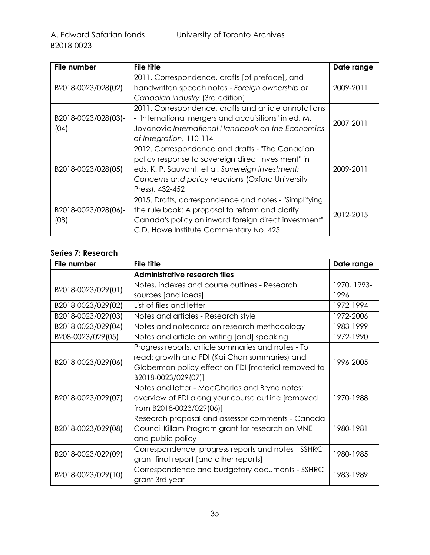| File number                 | <b>File title</b>                                                                                                                                                                                                                | Date range |
|-----------------------------|----------------------------------------------------------------------------------------------------------------------------------------------------------------------------------------------------------------------------------|------------|
|                             | 2011. Correspondence, drafts [of preface], and                                                                                                                                                                                   |            |
| B2018-0023/028(02)          | handwritten speech notes - Foreign ownership of<br>Canadian industry (3rd edition)                                                                                                                                               | 2009-2011  |
| B2018-0023/028(03)-<br>(04) | 2011. Correspondence, drafts and article annotations<br>- "International mergers and acquisitions" in ed. M.<br>Jovanovic International Handbook on the Economics<br>of Integration, 110-114                                     | 2007-2011  |
| B2018-0023/028(05)          | 2012. Correspondence and drafts - "The Canadian<br>policy response to sovereign direct investment" in<br>eds. K. P. Sauvant, et al. Sovereign investment:<br>Concerns and policy reactions (Oxford University<br>Press), 432-452 | 2009-2011  |
| B2018-0023/028(06)-<br>(08) | 2015. Drafts, correspondence and notes - "Simplifying<br>the rule book: A proposal to reform and clarify<br>Canada's policy on inward foreign direct investment"<br>C.D. Howe Institute Commentary No. 425                       | 2012-2015  |

## <span id="page-34-0"></span>**Series 7: Research**

| File number         | <b>File title</b>                                                                                                                                                                 | Date range  |
|---------------------|-----------------------------------------------------------------------------------------------------------------------------------------------------------------------------------|-------------|
|                     | <b>Administrative research files</b>                                                                                                                                              |             |
| B2018-0023/029(01)  | Notes, indexes and course outlines - Research                                                                                                                                     | 1970, 1993- |
|                     | sources [and ideas]                                                                                                                                                               | 1996        |
| B2018-0023/029(02)  | List of files and letter                                                                                                                                                          | 1972-1994   |
| B2018-0023/029 (03) | Notes and articles - Research style                                                                                                                                               | 1972-2006   |
| B2018-0023/029 (04) | Notes and notecards on research methodology                                                                                                                                       | 1983-1999   |
| B208-0023/029 (05)  | Notes and article on writing [and] speaking                                                                                                                                       | 1972-1990   |
| B2018-0023/029 (06) | Progress reports, article summaries and notes - To<br>read: growth and FDI (Kai Chan summaries) and<br>Globerman policy effect on FDI [material removed to<br>B2018-0023/029(07)] | 1996-2005   |
| B2018-0023/029(07)  | Notes and letter - MacCharles and Bryne notes:<br>overview of FDI along your course outline [removed<br>from B2018-0023/029(06)]                                                  | 1970-1988   |
| B2018-0023/029 (08) | Research proposal and assessor comments - Canada<br>Council Killam Program grant for research on MNE<br>and public policy                                                         | 1980-1981   |
| B2018-0023/029(09)  | Correspondence, progress reports and notes - SSHRC<br>grant final report [and other reports]                                                                                      | 1980-1985   |
| B2018-0023/029(10)  | Correspondence and budgetary documents - SSHRC<br>grant 3rd year                                                                                                                  | 1983-1989   |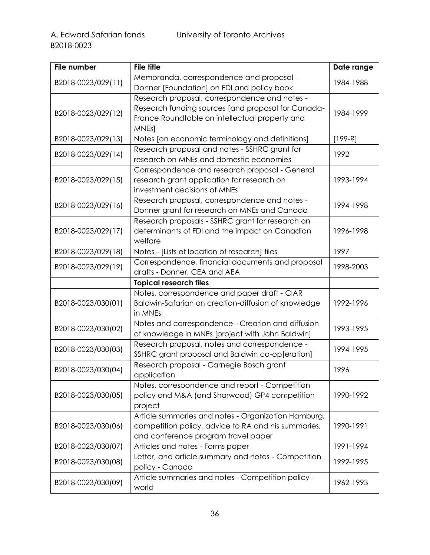| File number        | <b>File title</b>                                   | Date range |
|--------------------|-----------------------------------------------------|------------|
| B2018-0023/029(11) | Memoranda, correspondence and proposal -            | 1984-1988  |
|                    | Donner [Foundation] on FDI and policy book          |            |
|                    | Research proposal, correspondence and notes -       |            |
| B2018-0023/029(12) | Research funding sources [and proposal for Canada-  | 1984-1999  |
|                    | France Roundtable on intellectual property and      |            |
|                    | MNEs]                                               |            |
| B2018-0023/029(13) | Notes [on economic terminology and definitions]     | $[199-3]$  |
| B2018-0023/029(14) | Research proposal and notes - SSHRC grant for       | 1992       |
|                    | research on MNEs and domestic economies             |            |
|                    | Correspondence and research proposal - General      |            |
| B2018-0023/029(15) | research grant application for research on          | 1993-1994  |
|                    | investment decisions of MNEs                        |            |
| B2018-0023/029(16) | Research proposal, correspondence and notes -       | 1994-1998  |
|                    | Donner grant for research on MNEs and Canada        |            |
|                    | Research proposals - SSHRC grant for research on    |            |
| B2018-0023/029(17) | determinants of FDI and the impact on Canadian      | 1996-1998  |
|                    | welfare                                             |            |
| B2018-0023/029(18) | Notes - [Lists of location of research] files       | 1997       |
| B2018-0023/029(19) | Correspondence, financial documents and proposal    | 1998-2003  |
|                    | drafts - Donner, CEA and AEA                        |            |
|                    | <b>Topical research files</b>                       |            |
|                    | Notes, correspondence and paper draft - CIAR        |            |
| B2018-0023/030(01) | Baldwin-Safarian on creation-diffusion of knowledge | 1992-1996  |
|                    | in MNEs                                             |            |
| B2018-0023/030(02) | Notes and correspondence - Creation and diffusion   | 1993-1995  |
|                    | of knowledge in MNEs [project with John Baldwin]    |            |
| B2018-0023/030(03) | Research proposal, notes and correspondence -       | 1994-1995  |
|                    | SSHRC grant proposal and Baldwin co-op[eration]     |            |
| B2018-0023/030(04) | Research proposal - Carnegie Bosch grant            | 1996       |
|                    | application                                         |            |
|                    | Notes, correspondence and report - Competition      |            |
| B2018-0023/030(05) | policy and M&A (and Sharwood) GP4 competition       | 1990-1992  |
|                    | project                                             |            |
|                    | Article summaries and notes - Organization Hamburg, |            |
| B2018-0023/030(06) | competition policy, advice to RA and his summaries, | 1990-1991  |
|                    | and conference program travel paper                 |            |
| B2018-0023/030(07) | Articles and notes - Forms paper                    | 1991-1994  |
| B2018-0023/030(08) | Letter, and article summary and notes - Competition | 1992-1995  |
|                    | policy - Canada                                     |            |
| B2018-0023/030(09) | Article summaries and notes - Competition policy -  | 1962-1993  |
|                    | world                                               |            |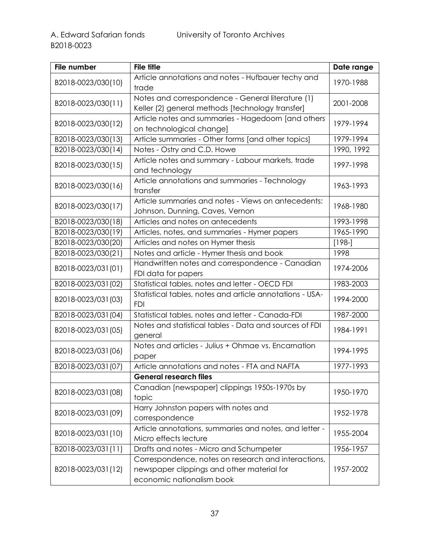| File number        | <b>File title</b>                                                                                                              | Date range |
|--------------------|--------------------------------------------------------------------------------------------------------------------------------|------------|
| B2018-0023/030(10) | Article annotations and notes - Hufbauer techy and<br>trade                                                                    | 1970-1988  |
| B2018-0023/030(11) | Notes and correspondence - General literature (1)<br>Keller (2) general methods [technology transfer]                          | 2001-2008  |
| B2018-0023/030(12) | Article notes and summaries - Hagedoorn [and others<br>on technological change]                                                | 1979-1994  |
| B2018-0023/030(13) | Article summaries - Other forms [and other topics]                                                                             | 1979-1994  |
| B2018-0023/030(14) | Notes - Ostry and C.D. Howe                                                                                                    | 1990, 1992 |
| B2018-0023/030(15) | Article notes and summary - Labour markets, trade<br>and technology                                                            | 1997-1998  |
| B2018-0023/030(16) | Article annotations and summaries - Technology<br>transfer                                                                     | 1963-1993  |
| B2018-0023/030(17) | Article summaries and notes - Views on antecedents:<br>Johnson, Dunning, Caves, Vernon                                         | 1968-1980  |
| B2018-0023/030(18) | Articles and notes on antecedents                                                                                              | 1993-1998  |
| B2018-0023/030(19) | Articles, notes, and summaries - Hymer papers                                                                                  | 1965-1990  |
| B2018-0023/030(20) | Articles and notes on Hymer thesis                                                                                             | $[198-]$   |
| B2018-0023/030(21) | Notes and article - Hymer thesis and book                                                                                      | 1998       |
| B2018-0023/031(01) | Handwritten notes and correspondence - Canadian<br>FDI data for papers                                                         | 1974-2006  |
| B2018-0023/031(02) | Statistical tables, notes and letter - OECD FDI                                                                                | 1983-2003  |
| B2018-0023/031(03) | Statistical tables, notes and article annotations - USA-<br><b>FDI</b>                                                         | 1994-2000  |
| B2018-0023/031(04) | Statistical tables, notes and letter - Canada-FDI                                                                              | 1987-2000  |
| B2018-0023/031(05) | Notes and statistical tables - Data and sources of FDI<br>general                                                              | 1984-1991  |
| B2018-0023/031(06) | Notes and articles - Julius + Ohmae vs. Encarnation<br>paper                                                                   | 1994-1995  |
| B2018-0023/031(07) | Article annotations and notes - FTA and NAFTA                                                                                  | 1977-1993  |
|                    | <b>General research files</b>                                                                                                  |            |
| B2018-0023/031(08) | Canadian [newspaper] clippings 1950s-1970s by<br>topic                                                                         | 1950-1970  |
| B2018-0023/031(09) | Harry Johnston papers with notes and<br>correspondence                                                                         | 1952-1978  |
| B2018-0023/031(10) | Article annotations, summaries and notes, and letter -<br>Micro effects lecture                                                | 1955-2004  |
| B2018-0023/031(11) | Drafts and notes - Micro and Schumpeter                                                                                        | 1956-1957  |
| B2018-0023/031(12) | Correspondence, notes on research and interactions,<br>newspaper clippings and other material for<br>economic nationalism book | 1957-2002  |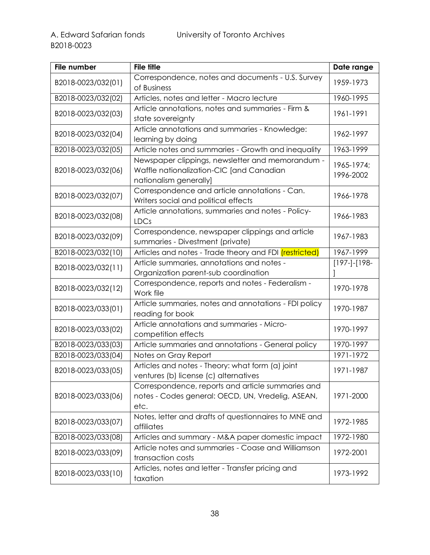| <b>File number</b> | <b>File title</b>                                                                                                      | Date range              |
|--------------------|------------------------------------------------------------------------------------------------------------------------|-------------------------|
| B2018-0023/032(01) | Correspondence, notes and documents - U.S. Survey<br>of Business                                                       | 1959-1973               |
| B2018-0023/032(02) | Articles, notes and letter - Macro lecture                                                                             | 1960-1995               |
| B2018-0023/032(03) | Article annotations, notes and summaries - Firm &<br>state sovereignty                                                 | 1961-1991               |
| B2018-0023/032(04) | Article annotations and summaries - Knowledge:<br>learning by doing                                                    | 1962-1997               |
| B2018-0023/032(05) | Article notes and summaries - Growth and inequality                                                                    | 1963-1999               |
| B2018-0023/032(06) | Newspaper clippings, newsletter and memorandum -<br>Waffle nationalization-CIC [and Canadian<br>nationalism generally] | 1965-1974;<br>1996-2002 |
| B2018-0023/032(07) | Correspondence and article annotations - Can.<br>Writers social and political effects                                  | 1966-1978               |
| B2018-0023/032(08) | Article annotations, summaries and notes - Policy-<br><b>LDCs</b>                                                      | 1966-1983               |
| B2018-0023/032(09) | Correspondence, newspaper clippings and article<br>summaries - Divestment (private)                                    | 1967-1983               |
| B2018-0023/032(10) | Articles and notes - Trade theory and FDI <i>(restricted)</i>                                                          | 1967-1999               |
| B2018-0023/032(11) | Article summaries, annotations and notes -<br>Organization parent-sub coordination                                     | $[197-]-[198-$          |
| B2018-0023/032(12) | Correspondence, reports and notes - Federalism -<br>Work file                                                          | 1970-1978               |
| B2018-0023/033(01) | Article summaries, notes and annotations - FDI policy<br>reading for book                                              | 1970-1987               |
| B2018-0023/033(02) | Article annotations and summaries - Micro-<br>competition effects                                                      | 1970-1997               |
| B2018-0023/033(03) | Article summaries and annotations - General policy                                                                     | 1970-1997               |
| B2018-0023/033(04) | Notes on Gray Report                                                                                                   | 1971-1972               |
| B2018-0023/033(05) | Articles and notes - Theory: what form (a) joint<br>ventures (b) license (c) alternatives                              | 1971-1987               |
| B2018-0023/033(06) | Correspondence, reports and article summaries and<br>notes - Codes general: OECD, UN, Vredelig, ASEAN,<br>etc.         | 1971-2000               |
| B2018-0023/033(07) | Notes, letter and drafts of questionnaires to MNE and<br>affiliates                                                    | 1972-1985               |
| B2018-0023/033(08) | Articles and summary - M&A paper domestic impact                                                                       | 1972-1980               |
| B2018-0023/033(09) | Article notes and summaries - Coase and Williamson<br>transaction costs                                                | 1972-2001               |
| B2018-0023/033(10) | Articles, notes and letter - Transfer pricing and<br>taxation                                                          | 1973-1992               |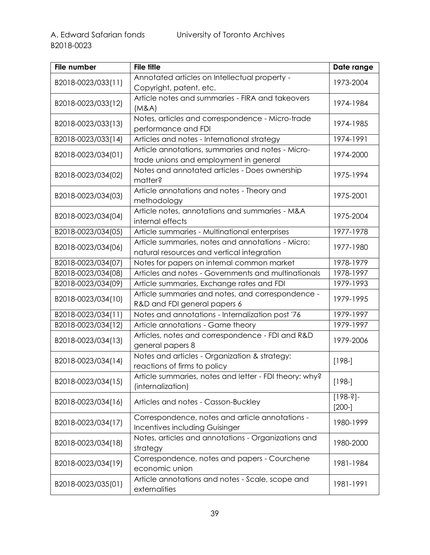| <b>File number</b> | <b>File title</b>                                                                               | Date range              |
|--------------------|-------------------------------------------------------------------------------------------------|-------------------------|
| B2018-0023/033(11) | Annotated articles on Intellectual property -                                                   | 1973-2004               |
|                    | Copyright, patent, etc.                                                                         |                         |
| B2018-0023/033(12) | Article notes and summaries - FIRA and takeovers<br>(M&A)                                       | 1974-1984               |
| B2018-0023/033(13) | Notes, articles and correspondence - Micro-trade<br>performance and FDI                         | 1974-1985               |
| B2018-0023/033(14) | Articles and notes - International strategy                                                     | 1974-1991               |
| B2018-0023/034(01) | Article annotations, summaries and notes - Micro-<br>trade unions and employment in general     | 1974-2000               |
| B2018-0023/034(02) | Notes and annotated articles - Does ownership<br>matter?                                        | 1975-1994               |
| B2018-0023/034(03) | Article annotations and notes - Theory and<br>methodology                                       | 1975-2001               |
| B2018-0023/034(04) | Article notes, annotations and summaries - M&A<br>internal effects                              | 1975-2004               |
| B2018-0023/034(05) | Article summaries - Multinational enterprises                                                   | 1977-1978               |
| B2018-0023/034(06) | Article summaries, notes and annotations - Micro:<br>natural resources and vertical integration | 1977-1980               |
| B2018-0023/034(07) | Notes for papers on internal common market                                                      | 1978-1979               |
| B2018-0023/034(08) | Articles and notes - Governments and multinationals                                             | 1978-1997               |
| B2018-0023/034(09) | Article summaries, Exchange rates and FDI                                                       | 1979-1993               |
| B2018-0023/034(10) | Article summaries and notes, and correspondence -                                               | 1979-1995               |
| B2018-0023/034(11) | R&D and FDI general papers 6<br>Notes and annotations - Internalization post '76                | 1979-1997               |
| B2018-0023/034(12) | Article annotations - Game theory                                                               | 1979-1997               |
| B2018-0023/034(13) | Articles, notes and correspondence - FDI and R&D<br>general papers 8                            | 1979-2006               |
| B2018-0023/034(14) | Notes and articles - Organization & strategy:<br>reactions of firms to policy                   | $[198-]$                |
| B2018-0023/034(15) | Article summaries, notes and letter - FDI theory: why?<br>(internalization)                     | $[198-]$                |
| B2018-0023/034(16) | Articles and notes - Casson-Buckley                                                             | $[198-2]$ -<br>$[200-]$ |
| B2018-0023/034(17) | Correspondence, notes and article annotations -<br>Incentives including Guisinger               | 1980-1999               |
| B2018-0023/034(18) | Notes, articles and annotations - Organizations and<br>strategy                                 | 1980-2000               |
| B2018-0023/034(19) | Correspondence, notes and papers - Courchene<br>economic union                                  | 1981-1984               |
| B2018-0023/035(01) | Article annotations and notes - Scale, scope and<br>externalities                               | 1981-1991               |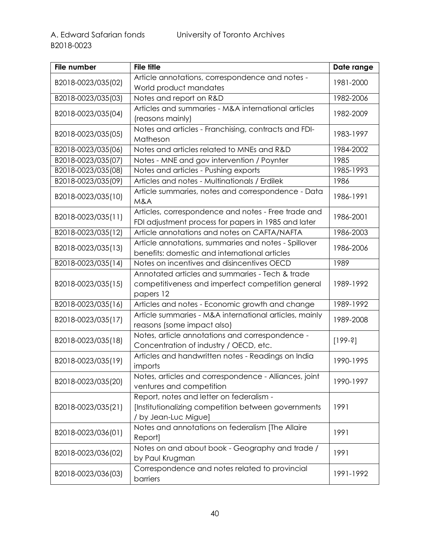| File number        | <b>File title</b>                                                                                          | Date range |
|--------------------|------------------------------------------------------------------------------------------------------------|------------|
| B2018-0023/035(02) | Article annotations, correspondence and notes -                                                            | 1981-2000  |
|                    | World product mandates                                                                                     |            |
| B2018-0023/035(03) | Notes and report on R&D                                                                                    | 1982-2006  |
|                    | Articles and summaries - M&A international articles                                                        | 1982-2009  |
| B2018-0023/035(04) | (reasons mainly)                                                                                           |            |
| B2018-0023/035(05) | Notes and articles - Franchising, contracts and FDI-                                                       | 1983-1997  |
|                    | Matheson                                                                                                   |            |
| B2018-0023/035(06) | Notes and articles related to MNEs and R&D                                                                 | 1984-2002  |
| B2018-0023/035(07) | Notes - MNE and gov intervention / Poynter                                                                 | 1985       |
| B2018-0023/035(08) | Notes and articles - Pushing exports                                                                       | 1985-1993  |
| B2018-0023/035(09) | Articles and notes - Multinationals / Erdilek                                                              | 1986       |
| B2018-0023/035(10) | Article summaries, notes and correspondence - Data<br>M&A                                                  | 1986-1991  |
| B2018-0023/035(11) | Articles, correspondence and notes - Free trade and<br>FDI adjustment process for papers in 1985 and later | 1986-2001  |
| B2018-0023/035(12) | Article annotations and notes on CAFTA/NAFTA                                                               | 1986-2003  |
|                    | Article annotations, summaries and notes - Spillover                                                       |            |
| B2018-0023/035(13) | benefits: domestic and international articles                                                              | 1986-2006  |
| B2018-0023/035(14) | Notes on incentives and disincentives OECD                                                                 | 1989       |
| B2018-0023/035(15) | Annotated articles and summaries - Tech & trade<br>competitiveness and imperfect competition general       | 1989-1992  |
|                    | papers 12                                                                                                  |            |
| B2018-0023/035(16) | Articles and notes - Economic growth and change                                                            | 1989-1992  |
|                    | Article summaries - M&A international articles, mainly                                                     |            |
| B2018-0023/035(17) | reasons (some impact also)                                                                                 | 1989-2008  |
|                    | Notes, article annotations and correspondence -                                                            |            |
| B2018-0023/035(18) | Concentration of industry / OECD, etc.                                                                     | $[199-3]$  |
| B2018-0023/035(19) | Articles and handwritten notes - Readings on India                                                         | 1990-1995  |
|                    | imports                                                                                                    |            |
| B2018-0023/035(20) | Notes, articles and correspondence - Alliances, joint                                                      | 1990-1997  |
|                    | ventures and competition                                                                                   |            |
|                    | Report, notes and letter on federalism -                                                                   |            |
| B2018-0023/035(21) | [Institutionalizing competition between governments                                                        | 1991       |
|                    | / by Jean-Luc Migue]                                                                                       |            |
| B2018-0023/036(01) | Notes and annotations on federalism [The Allaire                                                           | 1991       |
|                    | Report]                                                                                                    |            |
| B2018-0023/036(02) | Notes on and about book - Geography and trade /                                                            | 1991       |
|                    | by Paul Krugman                                                                                            |            |
| B2018-0023/036(03) | Correspondence and notes related to provincial<br>barriers                                                 | 1991-1992  |